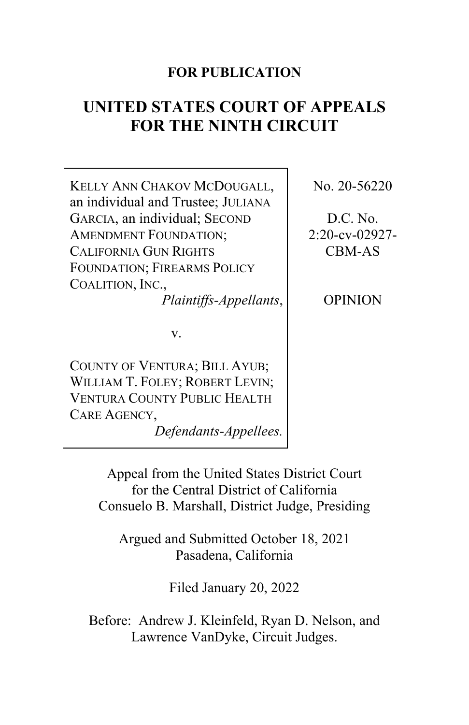# **FOR PUBLICATION**

# **UNITED STATES COURT OF APPEALS FOR THE NINTH CIRCUIT**

KELLY ANN CHAKOV MCDOUGALL, an individual and Trustee; JULIANA GARCIA, an individual; SECOND AMENDMENT FOUNDATION; CALIFORNIA GUN RIGHTS FOUNDATION; FIREARMS POLICY COALITION, INC.,

*Plaintiffs-Appellants*,

v.

COUNTY OF VENTURA; BILL AYUB; WILLIAM T. FOLEY: ROBERT LEVIN: VENTURA COUNTY PUBLIC HEALTH CARE AGENCY,

*Defendants-Appellees.*

No. 20-56220

D.C. No. 2:20-cv-02927- CBM-AS

OPINION

Appeal from the United States District Court for the Central District of California Consuelo B. Marshall, District Judge, Presiding

Argued and Submitted October 18, 2021 Pasadena, California

Filed January 20, 2022

Before: Andrew J. Kleinfeld, Ryan D. Nelson, and Lawrence VanDyke, Circuit Judges.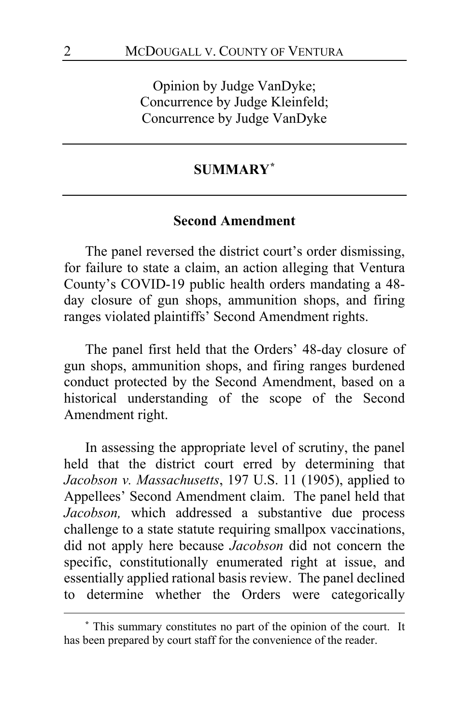Opinion by Judge VanDyke; Concurrence by Judge Kleinfeld; Concurrence by Judge VanDyke

### **SUMMARY[\\*](#page-1-0)**

#### **Second Amendment**

The panel reversed the district court's order dismissing, for failure to state a claim, an action alleging that Ventura County's COVID-19 public health orders mandating a 48 day closure of gun shops, ammunition shops, and firing ranges violated plaintiffs' Second Amendment rights.

The panel first held that the Orders' 48-day closure of gun shops, ammunition shops, and firing ranges burdened conduct protected by the Second Amendment, based on a historical understanding of the scope of the Second Amendment right.

In assessing the appropriate level of scrutiny, the panel held that the district court erred by determining that *Jacobson v. Massachusetts*, 197 U.S. 11 (1905), applied to Appellees' Second Amendment claim. The panel held that *Jacobson,* which addressed a substantive due process challenge to a state statute requiring smallpox vaccinations, did not apply here because *Jacobson* did not concern the specific, constitutionally enumerated right at issue, and essentially applied rational basis review. The panel declined to determine whether the Orders were categorically

<span id="page-1-0"></span>**<sup>\*</sup>** This summary constitutes no part of the opinion of the court. It has been prepared by court staff for the convenience of the reader.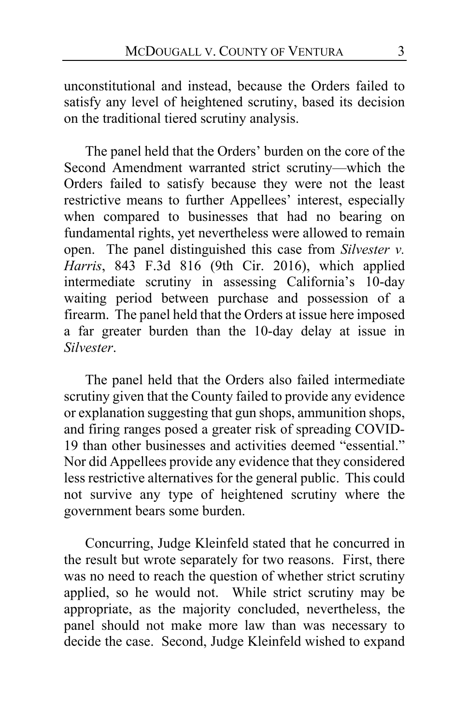unconstitutional and instead, because the Orders failed to satisfy any level of heightened scrutiny, based its decision on the traditional tiered scrutiny analysis.

The panel held that the Orders' burden on the core of the Second Amendment warranted strict scrutiny—which the Orders failed to satisfy because they were not the least restrictive means to further Appellees' interest, especially when compared to businesses that had no bearing on fundamental rights, yet nevertheless were allowed to remain open. The panel distinguished this case from *Silvester v. Harris*, 843 F.3d 816 (9th Cir. 2016), which applied intermediate scrutiny in assessing California's 10-day waiting period between purchase and possession of a firearm. The panel held that the Orders at issue here imposed a far greater burden than the 10-day delay at issue in *Silvester*.

The panel held that the Orders also failed intermediate scrutiny given that the County failed to provide any evidence or explanation suggesting that gun shops, ammunition shops, and firing ranges posed a greater risk of spreading COVID-19 than other businesses and activities deemed "essential." Nor did Appellees provide any evidence that they considered less restrictive alternatives for the general public. This could not survive any type of heightened scrutiny where the government bears some burden.

Concurring, Judge Kleinfeld stated that he concurred in the result but wrote separately for two reasons. First, there was no need to reach the question of whether strict scrutiny applied, so he would not. While strict scrutiny may be appropriate, as the majority concluded, nevertheless, the panel should not make more law than was necessary to decide the case. Second, Judge Kleinfeld wished to expand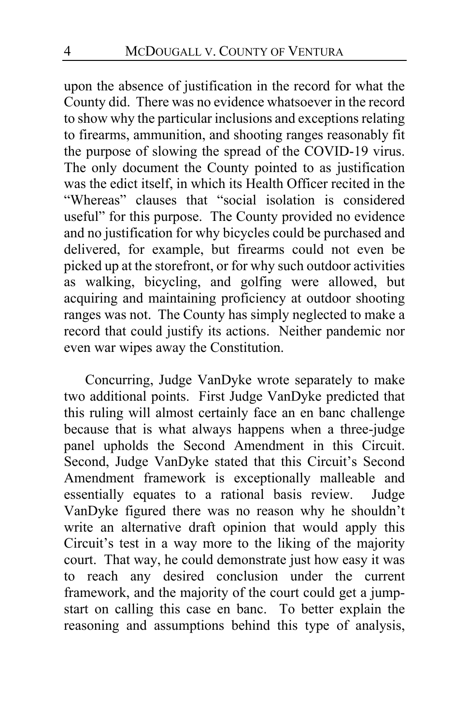upon the absence of justification in the record for what the County did. There was no evidence whatsoever in the record to show why the particular inclusions and exceptions relating to firearms, ammunition, and shooting ranges reasonably fit the purpose of slowing the spread of the COVID-19 virus. The only document the County pointed to as justification was the edict itself, in which its Health Officer recited in the "Whereas" clauses that "social isolation is considered useful" for this purpose. The County provided no evidence and no justification for why bicycles could be purchased and delivered, for example, but firearms could not even be picked up at the storefront, or for why such outdoor activities as walking, bicycling, and golfing were allowed, but acquiring and maintaining proficiency at outdoor shooting ranges was not. The County has simply neglected to make a record that could justify its actions. Neither pandemic nor even war wipes away the Constitution.

Concurring, Judge VanDyke wrote separately to make two additional points. First Judge VanDyke predicted that this ruling will almost certainly face an en banc challenge because that is what always happens when a three-judge panel upholds the Second Amendment in this Circuit. Second, Judge VanDyke stated that this Circuit's Second Amendment framework is exceptionally malleable and essentially equates to a rational basis review. Judge VanDyke figured there was no reason why he shouldn't write an alternative draft opinion that would apply this Circuit's test in a way more to the liking of the majority court. That way, he could demonstrate just how easy it was to reach any desired conclusion under the current framework, and the majority of the court could get a jumpstart on calling this case en banc. To better explain the reasoning and assumptions behind this type of analysis,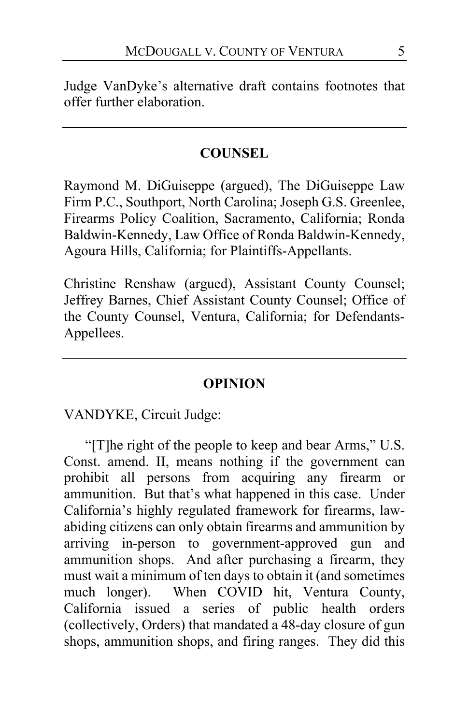Judge VanDyke's alternative draft contains footnotes that offer further elaboration.

## **COUNSEL**

Raymond M. DiGuiseppe (argued), The DiGuiseppe Law Firm P.C., Southport, North Carolina; Joseph G.S. Greenlee, Firearms Policy Coalition, Sacramento, California; Ronda Baldwin-Kennedy, Law Office of Ronda Baldwin-Kennedy, Agoura Hills, California; for Plaintiffs-Appellants.

Christine Renshaw (argued), Assistant County Counsel; Jeffrey Barnes, Chief Assistant County Counsel; Office of the County Counsel, Ventura, California; for Defendants-Appellees.

#### **OPINION**

VANDYKE, Circuit Judge:

"[T]he right of the people to keep and bear Arms," U.S. Const. amend. II, means nothing if the government can prohibit all persons from acquiring any firearm or ammunition. But that's what happened in this case. Under California's highly regulated framework for firearms, lawabiding citizens can only obtain firearms and ammunition by arriving in-person to government-approved gun and ammunition shops. And after purchasing a firearm, they must wait a minimum of ten days to obtain it (and sometimes much longer). When COVID hit, Ventura County, California issued a series of public health orders (collectively, Orders) that mandated a 48-day closure of gun shops, ammunition shops, and firing ranges. They did this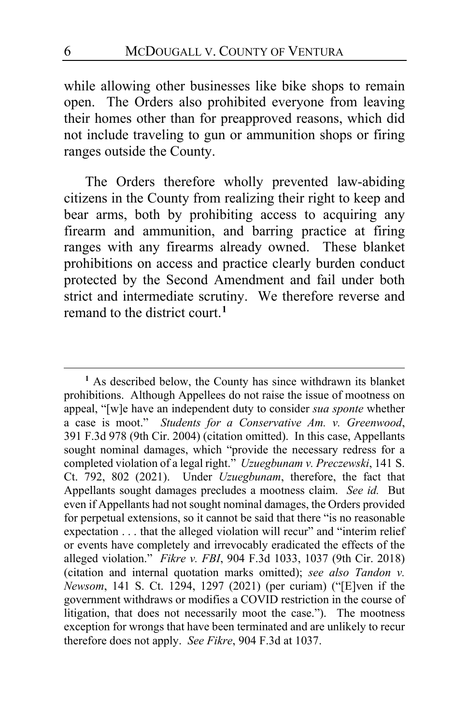while allowing other businesses like bike shops to remain open. The Orders also prohibited everyone from leaving their homes other than for preapproved reasons, which did not include traveling to gun or ammunition shops or firing ranges outside the County.

The Orders therefore wholly prevented law-abiding citizens in the County from realizing their right to keep and bear arms, both by prohibiting access to acquiring any firearm and ammunition, and barring practice at firing ranges with any firearms already owned. These blanket prohibitions on access and practice clearly burden conduct protected by the Second Amendment and fail under both strict and intermediate scrutiny. We therefore reverse and remand to the district court.**[1](#page-5-0)**

<span id="page-5-0"></span>**<sup>1</sup>** As described below, the County has since withdrawn its blanket prohibitions. Although Appellees do not raise the issue of mootness on appeal, "[w]e have an independent duty to consider *sua sponte* whether a case is moot." *Students for a Conservative Am. v. Greenwood*, 391 F.3d 978 (9th Cir. 2004) (citation omitted). In this case, Appellants sought nominal damages, which "provide the necessary redress for a completed violation of a legal right." *Uzuegbunam v. Preczewski*, 141 S. Ct. 792, 802 (2021). Under *Uzuegbunam*, therefore, the fact that Appellants sought damages precludes a mootness claim. *See id.* But even if Appellants had not sought nominal damages, the Orders provided for perpetual extensions, so it cannot be said that there "is no reasonable expectation . . . that the alleged violation will recur" and "interim relief or events have completely and irrevocably eradicated the effects of the alleged violation." *Fikre v. FBI*, 904 F.3d 1033, 1037 (9th Cir. 2018) (citation and internal quotation marks omitted); *see also Tandon v. Newsom*, 141 S. Ct. 1294, 1297 (2021) (per curiam) ("[E]ven if the government withdraws or modifies a COVID restriction in the course of litigation, that does not necessarily moot the case."). The mootness exception for wrongs that have been terminated and are unlikely to recur therefore does not apply. *See Fikre*, 904 F.3d at 1037.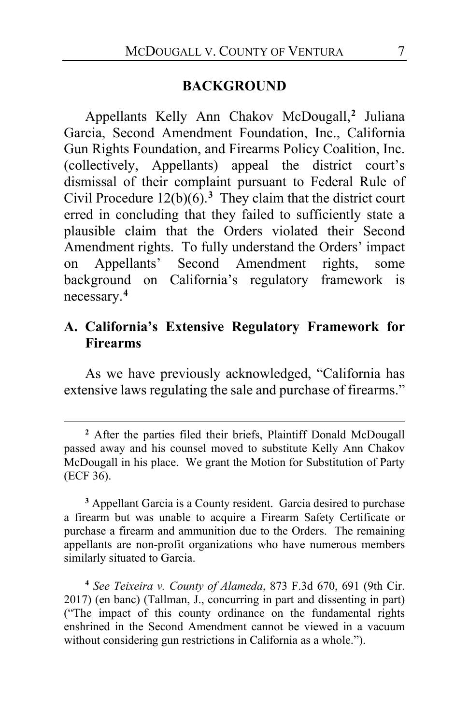#### **BACKGROUND**

Appellants Kelly Ann Chakov McDougall,**[2](#page-6-0)** Juliana Garcia, Second Amendment Foundation, Inc., California Gun Rights Foundation, and Firearms Policy Coalition, Inc. (collectively, Appellants) appeal the district court's dismissal of their complaint pursuant to Federal Rule of Civil Procedure  $12(b)(6)$ .<sup>[3](#page-6-1)</sup> They claim that the district court erred in concluding that they failed to sufficiently state a plausible claim that the Orders violated their Second Amendment rights. To fully understand the Orders' impact on Appellants' Second Amendment rights, some background on California's regulatory framework is necessary.**[4](#page-6-2)**

### **A. California's Extensive Regulatory Framework for Firearms**

As we have previously acknowledged, "California has extensive laws regulating the sale and purchase of firearms."

<span id="page-6-0"></span>**<sup>2</sup>** After the parties filed their briefs, Plaintiff Donald McDougall passed away and his counsel moved to substitute Kelly Ann Chakov McDougall in his place. We grant the Motion for Substitution of Party (ECF 36).

<span id="page-6-1"></span>**<sup>3</sup>** Appellant Garcia is a County resident. Garcia desired to purchase a firearm but was unable to acquire a Firearm Safety Certificate or purchase a firearm and ammunition due to the Orders. The remaining appellants are non-profit organizations who have numerous members similarly situated to Garcia.

<span id="page-6-2"></span>**<sup>4</sup>** *See Teixeira v. County of Alameda*, 873 F.3d 670, 691 (9th Cir. 2017) (en banc) (Tallman, J., concurring in part and dissenting in part) ("The impact of this county ordinance on the fundamental rights enshrined in the Second Amendment cannot be viewed in a vacuum without considering gun restrictions in California as a whole.").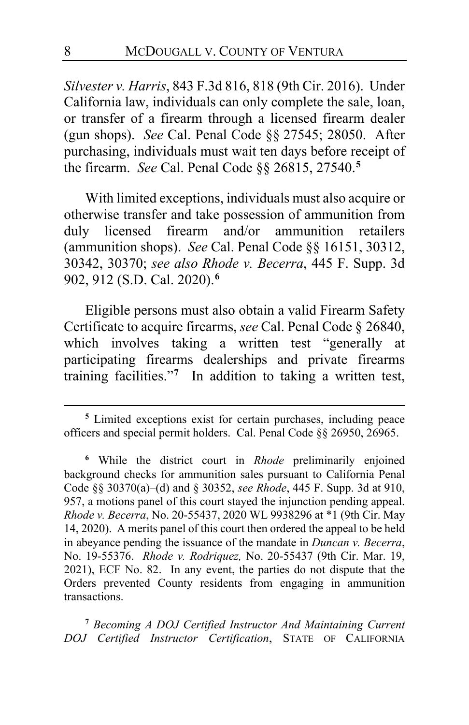*Silvester v. Harris*, 843 F.3d 816, 818 (9th Cir. 2016). Under California law, individuals can only complete the sale, loan, or transfer of a firearm through a licensed firearm dealer (gun shops). *See* Cal. Penal Code §§ 27545; 28050. After purchasing, individuals must wait ten days before receipt of the firearm. *See* Cal. Penal Code §§ 26815, 27540.**[5](#page-7-0)**

With limited exceptions, individuals must also acquire or otherwise transfer and take possession of ammunition from duly licensed firearm and/or ammunition retailers (ammunition shops). *See* Cal. Penal Code §§ 16151, 30312, 30342, 30370; *see also Rhode v. Becerra*, 445 F. Supp. 3d 902, 912 (S.D. Cal. 2020).**[6](#page-7-1)**

Eligible persons must also obtain a valid Firearm Safety Certificate to acquire firearms, *see* Cal. Penal Code § 26840, which involves taking a written test "generally at participating firearms dealerships and private firearms training facilities."**[7](#page-7-2)** In addition to taking a written test,

<span id="page-7-0"></span>**<sup>5</sup>** Limited exceptions exist for certain purchases, including peace officers and special permit holders. Cal. Penal Code §§ 26950, 26965.

<span id="page-7-1"></span>**<sup>6</sup>** While the district court in *Rhode* preliminarily enjoined background checks for ammunition sales pursuant to California Penal Code §§ 30370(a)–(d) and § 30352, *see Rhode*, 445 F. Supp. 3d at 910, 957, a motions panel of this court stayed the injunction pending appeal. *Rhode v. Becerra*, No. 20-55437, 2020 WL 9938296 at \*1 (9th Cir. May 14, 2020). A merits panel of this court then ordered the appeal to be held in abeyance pending the issuance of the mandate in *Duncan v. Becerra*, No. 19-55376. *Rhode v. Rodriquez,* No. 20-55437 (9th Cir. Mar. 19, 2021), ECF No. 82. In any event, the parties do not dispute that the Orders prevented County residents from engaging in ammunition transactions.

<span id="page-7-2"></span>**<sup>7</sup>** *Becoming A DOJ Certified Instructor And Maintaining Current DOJ Certified Instructor Certification*, STATE OF CALIFORNIA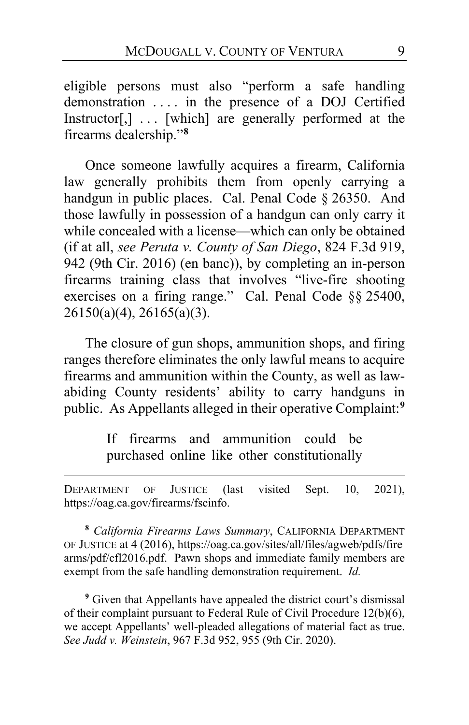eligible persons must also "perform a safe handling demonstration . . . . in the presence of a DOJ Certified Instructor[,] . . . [which] are generally performed at the firearms dealership."**[8](#page-8-0)**

Once someone lawfully acquires a firearm, California law generally prohibits them from openly carrying a handgun in public places. Cal. Penal Code § 26350. And those lawfully in possession of a handgun can only carry it while concealed with a license—which can only be obtained (if at all, *see Peruta v. County of San Diego*, 824 F.3d 919, 942 (9th Cir. 2016) (en banc)), by completing an in-person firearms training class that involves "live-fire shooting exercises on a firing range." Cal. Penal Code §§ 25400, 26150(a)(4), 26165(a)(3).

The closure of gun shops, ammunition shops, and firing ranges therefore eliminates the only lawful means to acquire firearms and ammunition within the County, as well as lawabiding County residents' ability to carry handguns in public. As Appellants alleged in their operative Complaint:**[9](#page-8-1)**

> If firearms and ammunition could be purchased online like other constitutionally

DEPARTMENT OF JUSTICE (last visited Sept. 10, 2021), https://oag.ca.gov/firearms/fscinfo.

<span id="page-8-0"></span>**<sup>8</sup>** *California Firearms Laws Summary*, CALIFORNIA DEPARTMENT OF JUSTICE at 4 (2016), https://oag.ca.gov/sites/all/files/agweb/pdfs/fire arms/pdf/cfl2016.pdf. Pawn shops and immediate family members are exempt from the safe handling demonstration requirement. *Id.*

<span id="page-8-1"></span>**<sup>9</sup>** Given that Appellants have appealed the district court's dismissal of their complaint pursuant to Federal Rule of Civil Procedure 12(b)(6), we accept Appellants' well-pleaded allegations of material fact as true. *See Judd v. Weinstein*, 967 F.3d 952, 955 (9th Cir. 2020).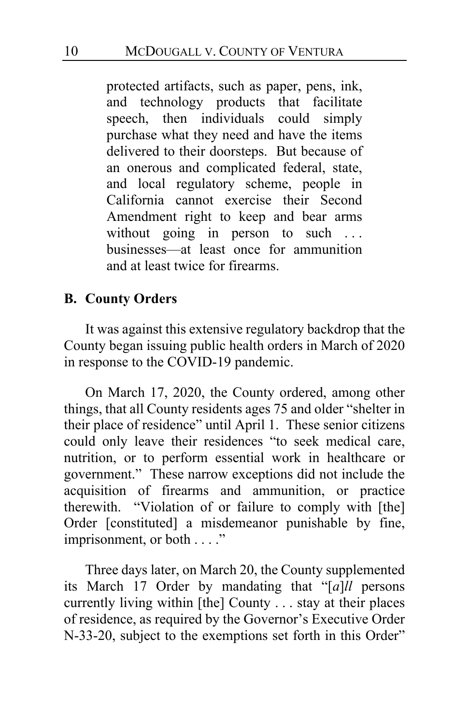protected artifacts, such as paper, pens, ink, and technology products that facilitate speech, then individuals could simply purchase what they need and have the items delivered to their doorsteps. But because of an onerous and complicated federal, state, and local regulatory scheme, people in California cannot exercise their Second Amendment right to keep and bear arms without going in person to such ... businesses—at least once for ammunition and at least twice for firearms.

## **B. County Orders**

It was against this extensive regulatory backdrop that the County began issuing public health orders in March of 2020 in response to the COVID-19 pandemic.

On March 17, 2020, the County ordered, among other things, that all County residents ages 75 and older "shelter in their place of residence" until April 1. These senior citizens could only leave their residences "to seek medical care, nutrition, or to perform essential work in healthcare or government." These narrow exceptions did not include the acquisition of firearms and ammunition, or practice therewith. "Violation of or failure to comply with [the] Order [constituted] a misdemeanor punishable by fine, imprisonment, or both . . . ."

Three days later, on March 20, the County supplemented its March 17 Order by mandating that "[*a*]*ll* persons currently living within [the] County . . . stay at their places of residence, as required by the Governor's Executive Order N-33-20, subject to the exemptions set forth in this Order"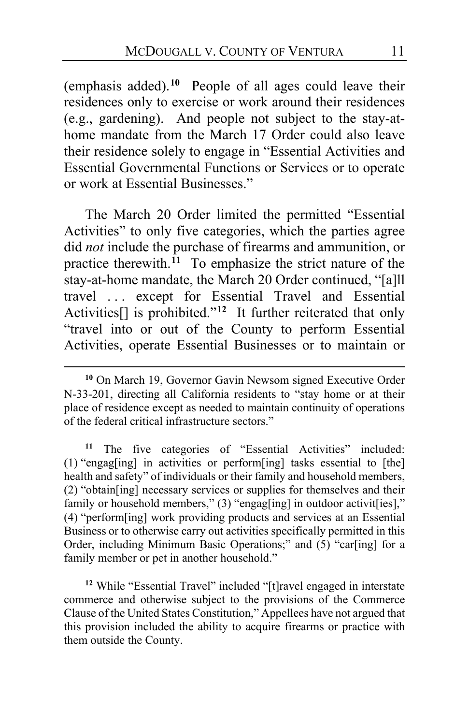(emphasis added).**[10](#page-10-0)** People of all ages could leave their residences only to exercise or work around their residences (e.g., gardening). And people not subject to the stay-athome mandate from the March 17 Order could also leave their residence solely to engage in "Essential Activities and Essential Governmental Functions or Services or to operate or work at Essential Businesses."

The March 20 Order limited the permitted "Essential Activities" to only five categories, which the parties agree did *not* include the purchase of firearms and ammunition, or practice therewith.**[11](#page-10-1)** To emphasize the strict nature of the stay-at-home mandate, the March 20 Order continued, "[a]ll travel . . . except for Essential Travel and Essential Activities[] is prohibited."**[12](#page-10-2)** It further reiterated that only "travel into or out of the County to perform Essential Activities, operate Essential Businesses or to maintain or

<span id="page-10-1"></span>**<sup>11</sup>** The five categories of "Essential Activities" included: (1) "engag[ing] in activities or perform[ing] tasks essential to [the] health and safety" of individuals or their family and household members, (2) "obtain[ing] necessary services or supplies for themselves and their family or household members," (3) "engag[ing] in outdoor activit[ies]," (4) "perform[ing] work providing products and services at an Essential Business or to otherwise carry out activities specifically permitted in this Order, including Minimum Basic Operations;" and (5) "car[ing] for a family member or pet in another household."

<span id="page-10-2"></span><sup>12</sup> While "Essential Travel" included "[t]ravel engaged in interstate commerce and otherwise subject to the provisions of the Commerce Clause of the United States Constitution," Appellees have not argued that this provision included the ability to acquire firearms or practice with them outside the County.

<span id="page-10-0"></span>**<sup>10</sup>** On March 19, Governor Gavin Newsom signed Executive Order N-33-201, directing all California residents to "stay home or at their place of residence except as needed to maintain continuity of operations of the federal critical infrastructure sectors."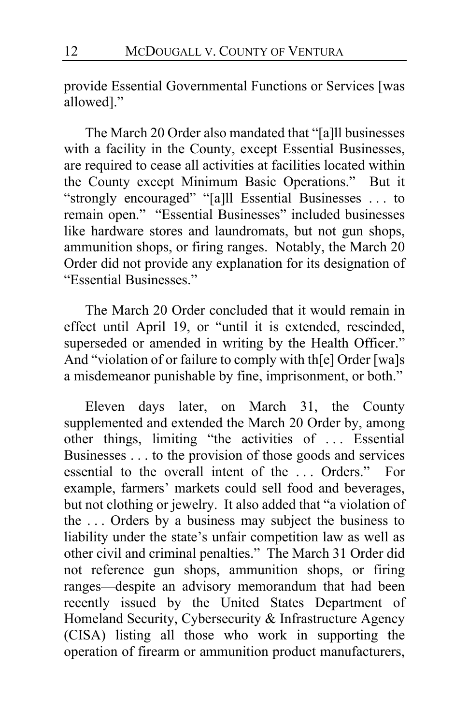provide Essential Governmental Functions or Services [was allowed]."

The March 20 Order also mandated that "[a]ll businesses with a facility in the County, except Essential Businesses, are required to cease all activities at facilities located within the County except Minimum Basic Operations." But it "strongly encouraged" "[a]ll Essential Businesses . . . to remain open." "Essential Businesses" included businesses like hardware stores and laundromats, but not gun shops, ammunition shops, or firing ranges. Notably, the March 20 Order did not provide any explanation for its designation of "Essential Businesses."

The March 20 Order concluded that it would remain in effect until April 19, or "until it is extended, rescinded, superseded or amended in writing by the Health Officer." And "violation of or failure to comply with th[e] Order [wa]s a misdemeanor punishable by fine, imprisonment, or both."

Eleven days later, on March 31, the County supplemented and extended the March 20 Order by, among other things, limiting "the activities of . . . Essential Businesses . . . to the provision of those goods and services essential to the overall intent of the . . . Orders." For example, farmers' markets could sell food and beverages, but not clothing or jewelry. It also added that "a violation of the . . . Orders by a business may subject the business to liability under the state's unfair competition law as well as other civil and criminal penalties." The March 31 Order did not reference gun shops, ammunition shops, or firing ranges—despite an advisory memorandum that had been recently issued by the United States Department of Homeland Security, Cybersecurity & Infrastructure Agency (CISA) listing all those who work in supporting the operation of firearm or ammunition product manufacturers,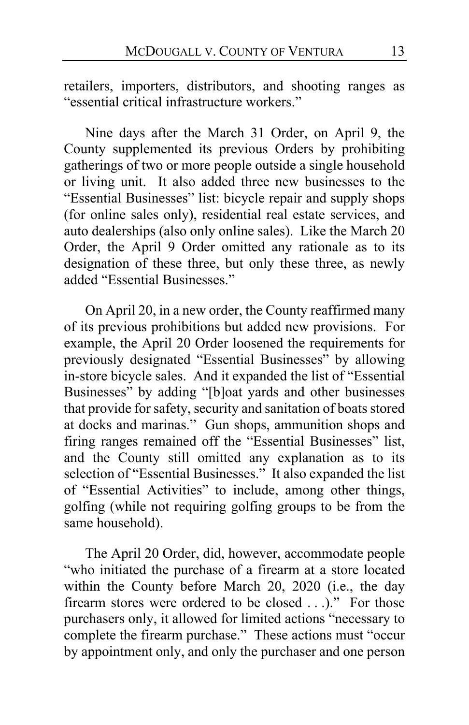retailers, importers, distributors, and shooting ranges as "essential critical infrastructure workers."

Nine days after the March 31 Order, on April 9, the County supplemented its previous Orders by prohibiting gatherings of two or more people outside a single household or living unit. It also added three new businesses to the "Essential Businesses" list: bicycle repair and supply shops (for online sales only), residential real estate services, and auto dealerships (also only online sales). Like the March 20 Order, the April 9 Order omitted any rationale as to its designation of these three, but only these three, as newly added "Essential Businesses."

On April 20, in a new order, the County reaffirmed many of its previous prohibitions but added new provisions. For example, the April 20 Order loosened the requirements for previously designated "Essential Businesses" by allowing in-store bicycle sales. And it expanded the list of "Essential Businesses" by adding "[b]oat yards and other businesses that provide for safety, security and sanitation of boats stored at docks and marinas." Gun shops, ammunition shops and firing ranges remained off the "Essential Businesses" list, and the County still omitted any explanation as to its selection of "Essential Businesses." It also expanded the list of "Essential Activities" to include, among other things, golfing (while not requiring golfing groups to be from the same household).

The April 20 Order, did, however, accommodate people "who initiated the purchase of a firearm at a store located within the County before March 20, 2020 (i.e., the day firearm stores were ordered to be closed . . .)." For those purchasers only, it allowed for limited actions "necessary to complete the firearm purchase." These actions must "occur by appointment only, and only the purchaser and one person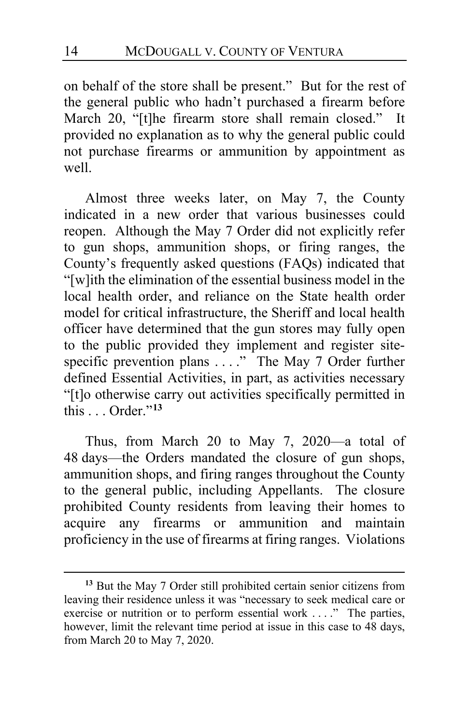on behalf of the store shall be present." But for the rest of the general public who hadn't purchased a firearm before March 20, "[t]he firearm store shall remain closed." It provided no explanation as to why the general public could not purchase firearms or ammunition by appointment as well.

Almost three weeks later, on May 7, the County indicated in a new order that various businesses could reopen. Although the May 7 Order did not explicitly refer to gun shops, ammunition shops, or firing ranges, the County's frequently asked questions (FAQs) indicated that "[w]ith the elimination of the essential business model in the local health order, and reliance on the State health order model for critical infrastructure, the Sheriff and local health officer have determined that the gun stores may fully open to the public provided they implement and register sitespecific prevention plans . . . ." The May 7 Order further defined Essential Activities, in part, as activities necessary "[t]o otherwise carry out activities specifically permitted in  $\text{this}$   $\text{Order}$ <sup>"[13](#page-13-0)</sup>

Thus, from March 20 to May 7, 2020—a total of 48 days—the Orders mandated the closure of gun shops, ammunition shops, and firing ranges throughout the County to the general public, including Appellants. The closure prohibited County residents from leaving their homes to acquire any firearms or ammunition and maintain proficiency in the use of firearms at firing ranges. Violations

<span id="page-13-0"></span>**<sup>13</sup>** But the May 7 Order still prohibited certain senior citizens from leaving their residence unless it was "necessary to seek medical care or exercise or nutrition or to perform essential work ...." The parties, however, limit the relevant time period at issue in this case to 48 days, from March 20 to May 7, 2020.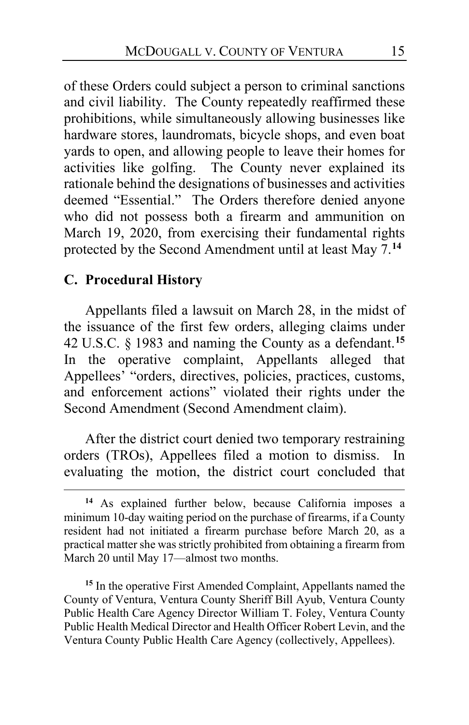of these Orders could subject a person to criminal sanctions and civil liability. The County repeatedly reaffirmed these prohibitions, while simultaneously allowing businesses like hardware stores, laundromats, bicycle shops, and even boat yards to open, and allowing people to leave their homes for activities like golfing. The County never explained its rationale behind the designations of businesses and activities deemed "Essential." The Orders therefore denied anyone who did not possess both a firearm and ammunition on March 19, 2020, from exercising their fundamental rights protected by the Second Amendment until at least May 7.**[14](#page-14-0)**

### **C. Procedural History**

Appellants filed a lawsuit on March 28, in the midst of the issuance of the first few orders, alleging claims under 42 U.S.C. § 1983 and naming the County as a defendant.**[15](#page-14-1)** In the operative complaint, Appellants alleged that Appellees' "orders, directives, policies, practices, customs, and enforcement actions" violated their rights under the Second Amendment (Second Amendment claim).

After the district court denied two temporary restraining orders (TROs), Appellees filed a motion to dismiss. In evaluating the motion, the district court concluded that

<span id="page-14-1"></span>**<sup>15</sup>** In the operative First Amended Complaint, Appellants named the County of Ventura, Ventura County Sheriff Bill Ayub, Ventura County Public Health Care Agency Director William T. Foley, Ventura County Public Health Medical Director and Health Officer Robert Levin, and the Ventura County Public Health Care Agency (collectively, Appellees).

<span id="page-14-0"></span>**<sup>14</sup>** As explained further below, because California imposes a minimum 10-day waiting period on the purchase of firearms, if a County resident had not initiated a firearm purchase before March 20, as a practical matter she was strictly prohibited from obtaining a firearm from March 20 until May 17—almost two months.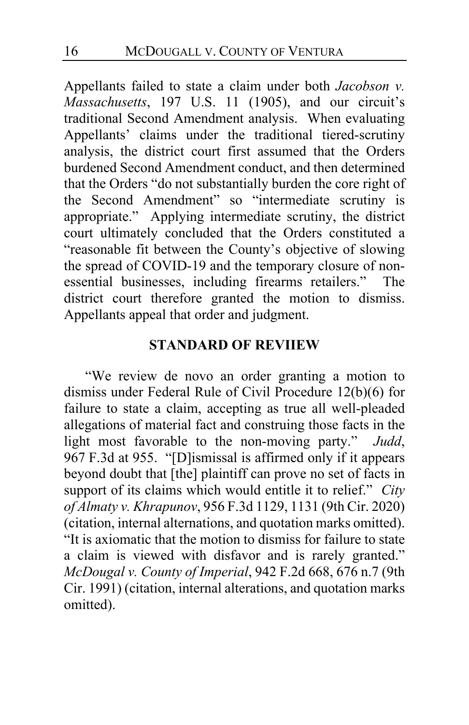Appellants failed to state a claim under both *Jacobson v. Massachusetts*, 197 U.S. 11 (1905), and our circuit's traditional Second Amendment analysis. When evaluating Appellants' claims under the traditional tiered-scrutiny analysis, the district court first assumed that the Orders burdened Second Amendment conduct, and then determined that the Orders "do not substantially burden the core right of the Second Amendment" so "intermediate scrutiny is appropriate." Applying intermediate scrutiny, the district court ultimately concluded that the Orders constituted a "reasonable fit between the County's objective of slowing the spread of COVID-19 and the temporary closure of nonessential businesses, including firearms retailers." The district court therefore granted the motion to dismiss. Appellants appeal that order and judgment.

#### **STANDARD OF REVIIEW**

"We review de novo an order granting a motion to dismiss under Federal Rule of Civil Procedure 12(b)(6) for failure to state a claim, accepting as true all well-pleaded allegations of material fact and construing those facts in the light most favorable to the non-moving party." *Judd*, 967 F.3d at 955. "[D]ismissal is affirmed only if it appears beyond doubt that [the] plaintiff can prove no set of facts in support of its claims which would entitle it to relief." *City of Almaty v. Khrapunov*, 956 F.3d 1129, 1131 (9th Cir. 2020) (citation, internal alternations, and quotation marks omitted). "It is axiomatic that the motion to dismiss for failure to state a claim is viewed with disfavor and is rarely granted." *McDougal v. County of Imperial*, 942 F.2d 668, 676 n.7 (9th Cir. 1991) (citation, internal alterations, and quotation marks omitted).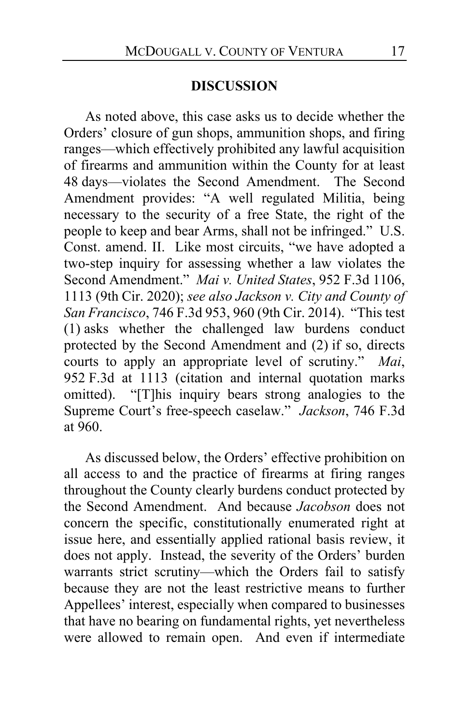#### **DISCUSSION**

As noted above, this case asks us to decide whether the Orders' closure of gun shops, ammunition shops, and firing ranges—which effectively prohibited any lawful acquisition of firearms and ammunition within the County for at least 48 days—violates the Second Amendment. The Second Amendment provides: "A well regulated Militia, being necessary to the security of a free State, the right of the people to keep and bear Arms, shall not be infringed." U.S. Const. amend. II. Like most circuits, "we have adopted a two-step inquiry for assessing whether a law violates the Second Amendment." *Mai v. United States*, 952 F.3d 1106, 1113 (9th Cir. 2020); *see also Jackson v. City and County of San Francisco*, 746 F.3d 953, 960 (9th Cir. 2014). "This test (1) asks whether the challenged law burdens conduct protected by the Second Amendment and (2) if so, directs courts to apply an appropriate level of scrutiny." *Mai*, 952 F.3d at 1113 (citation and internal quotation marks omitted). "[T]his inquiry bears strong analogies to the Supreme Court's free-speech caselaw." *Jackson*, 746 F.3d at 960.

As discussed below, the Orders' effective prohibition on all access to and the practice of firearms at firing ranges throughout the County clearly burdens conduct protected by the Second Amendment. And because *Jacobson* does not concern the specific, constitutionally enumerated right at issue here, and essentially applied rational basis review, it does not apply. Instead, the severity of the Orders' burden warrants strict scrutiny—which the Orders fail to satisfy because they are not the least restrictive means to further Appellees' interest, especially when compared to businesses that have no bearing on fundamental rights, yet nevertheless were allowed to remain open. And even if intermediate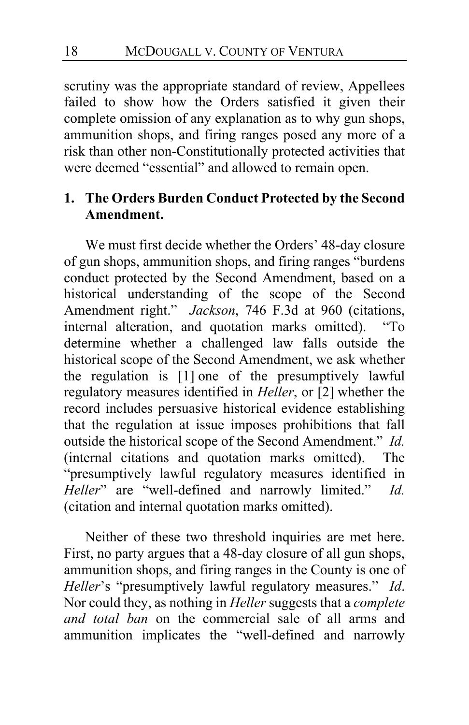scrutiny was the appropriate standard of review, Appellees failed to show how the Orders satisfied it given their complete omission of any explanation as to why gun shops, ammunition shops, and firing ranges posed any more of a risk than other non-Constitutionally protected activities that were deemed "essential" and allowed to remain open.

# **1. The Orders Burden Conduct Protected by the Second Amendment.**

We must first decide whether the Orders' 48-day closure of gun shops, ammunition shops, and firing ranges "burdens conduct protected by the Second Amendment, based on a historical understanding of the scope of the Second Amendment right." *Jackson*, 746 F.3d at 960 (citations, internal alteration, and quotation marks omitted). "To determine whether a challenged law falls outside the historical scope of the Second Amendment, we ask whether the regulation is [1] one of the presumptively lawful regulatory measures identified in *Heller*, or [2] whether the record includes persuasive historical evidence establishing that the regulation at issue imposes prohibitions that fall outside the historical scope of the Second Amendment." *Id.* (internal citations and quotation marks omitted). The "presumptively lawful regulatory measures identified in *Heller*" are "well-defined and narrowly limited." *Id.* (citation and internal quotation marks omitted).

Neither of these two threshold inquiries are met here. First, no party argues that a 48-day closure of all gun shops, ammunition shops, and firing ranges in the County is one of *Heller*'s "presumptively lawful regulatory measures." *Id*. Nor could they, as nothing in *Heller* suggests that a *complete and total ban* on the commercial sale of all arms and ammunition implicates the "well-defined and narrowly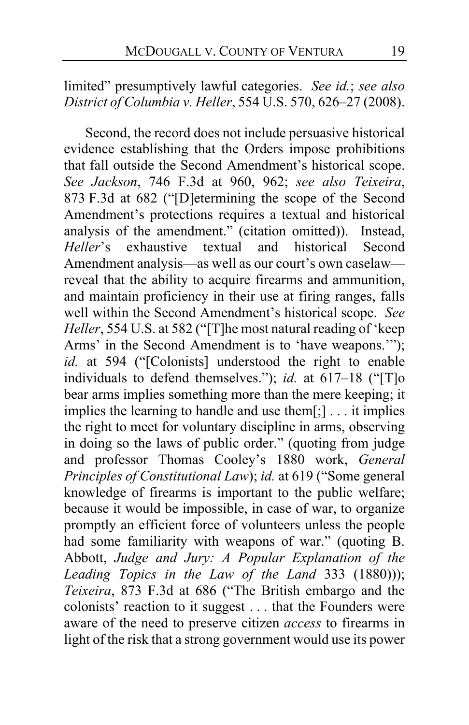# limited" presumptively lawful categories. *See id.*; *see also District of Columbia v. Heller*, 554 U.S. 570, 626–27 (2008).

Second, the record does not include persuasive historical evidence establishing that the Orders impose prohibitions that fall outside the Second Amendment's historical scope. *See Jackson*, 746 F.3d at 960, 962; *see also Teixeira*, 873 F.3d at 682 ("[D]etermining the scope of the Second Amendment's protections requires a textual and historical analysis of the amendment." (citation omitted)). Instead, *Heller*'s exhaustive textual and historical Second Amendment analysis—as well as our court's own caselaw reveal that the ability to acquire firearms and ammunition, and maintain proficiency in their use at firing ranges, falls well within the Second Amendment's historical scope. *See Heller*, 554 U.S. at 582 ("[T]he most natural reading of 'keep Arms' in the Second Amendment is to 'have weapons.'"); *id.* at 594 ("[Colonists] understood the right to enable individuals to defend themselves."); *id.* at 617–18 ("[T]o bear arms implies something more than the mere keeping; it implies the learning to handle and use them[;] . . . it implies the right to meet for voluntary discipline in arms, observing in doing so the laws of public order." (quoting from judge and professor Thomas Cooley's 1880 work, *General Principles of Constitutional Law*); *id.* at 619 ("Some general knowledge of firearms is important to the public welfare; because it would be impossible, in case of war, to organize promptly an efficient force of volunteers unless the people had some familiarity with weapons of war." (quoting B. Abbott, *Judge and Jury: A Popular Explanation of the Leading Topics in the Law of the Land* 333 (1880))); *Teixeira*, 873 F.3d at 686 ("The British embargo and the colonists' reaction to it suggest . . . that the Founders were aware of the need to preserve citizen *access* to firearms in light of the risk that a strong government would use its power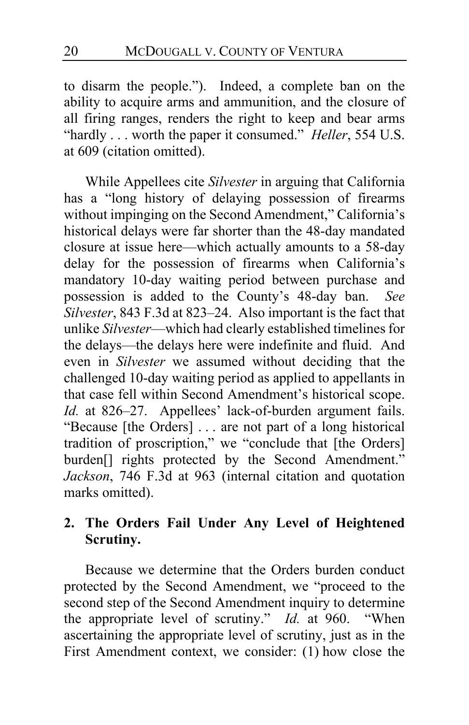to disarm the people."). Indeed, a complete ban on the ability to acquire arms and ammunition, and the closure of all firing ranges, renders the right to keep and bear arms "hardly . . . worth the paper it consumed." *Heller*, 554 U.S. at 609 (citation omitted).

While Appellees cite *Silvester* in arguing that California has a "long history of delaying possession of firearms without impinging on the Second Amendment," California's historical delays were far shorter than the 48-day mandated closure at issue here—which actually amounts to a 58-day delay for the possession of firearms when California's mandatory 10-day waiting period between purchase and possession is added to the County's 48-day ban. *See Silvester*, 843 F.3d at 823–24. Also important is the fact that unlike *Silvester*—which had clearly established timelines for the delays—the delays here were indefinite and fluid. And even in *Silvester* we assumed without deciding that the challenged 10-day waiting period as applied to appellants in that case fell within Second Amendment's historical scope. *Id.* at 826–27. Appellees' lack-of-burden argument fails. "Because [the Orders] . . . are not part of a long historical tradition of proscription," we "conclude that [the Orders] burden<sup>[]</sup> rights protected by the Second Amendment." *Jackson*, 746 F.3d at 963 (internal citation and quotation marks omitted).

# **2. The Orders Fail Under Any Level of Heightened Scrutiny.**

Because we determine that the Orders burden conduct protected by the Second Amendment, we "proceed to the second step of the Second Amendment inquiry to determine the appropriate level of scrutiny." *Id.* at 960. "When ascertaining the appropriate level of scrutiny, just as in the First Amendment context, we consider: (1) how close the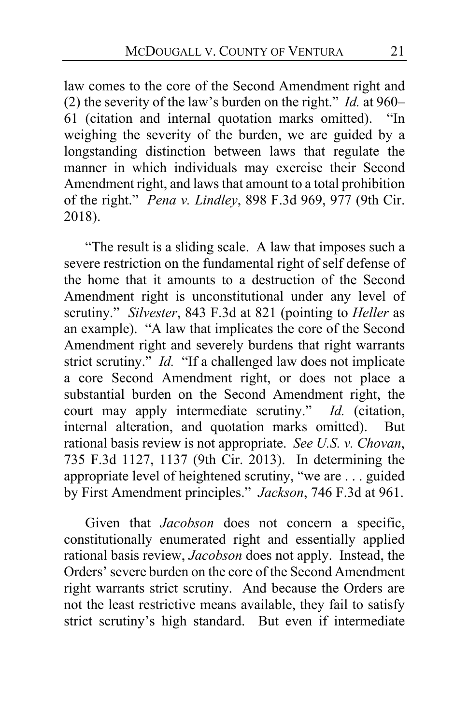law comes to the core of the Second Amendment right and (2) the severity of the law's burden on the right." *Id.* at 960– 61 (citation and internal quotation marks omitted). "In weighing the severity of the burden, we are guided by a longstanding distinction between laws that regulate the manner in which individuals may exercise their Second Amendment right, and laws that amount to a total prohibition of the right." *Pena v. Lindley*, 898 F.3d 969, 977 (9th Cir. 2018).

"The result is a sliding scale. A law that imposes such a severe restriction on the fundamental right of self defense of the home that it amounts to a destruction of the Second Amendment right is unconstitutional under any level of scrutiny." *Silvester*, 843 F.3d at 821 (pointing to *Heller* as an example). "A law that implicates the core of the Second Amendment right and severely burdens that right warrants strict scrutiny." *Id.* "If a challenged law does not implicate a core Second Amendment right, or does not place a substantial burden on the Second Amendment right, the court may apply intermediate scrutiny." *Id.* (citation, internal alteration, and quotation marks omitted). But rational basis review is not appropriate. *See U.S. v. Chovan*, 735 F.3d 1127, 1137 (9th Cir. 2013). In determining the appropriate level of heightened scrutiny, "we are . . . guided by First Amendment principles." *Jackson*, 746 F.3d at 961.

Given that *Jacobson* does not concern a specific, constitutionally enumerated right and essentially applied rational basis review, *Jacobson* does not apply. Instead, the Orders' severe burden on the core of the Second Amendment right warrants strict scrutiny. And because the Orders are not the least restrictive means available, they fail to satisfy strict scrutiny's high standard. But even if intermediate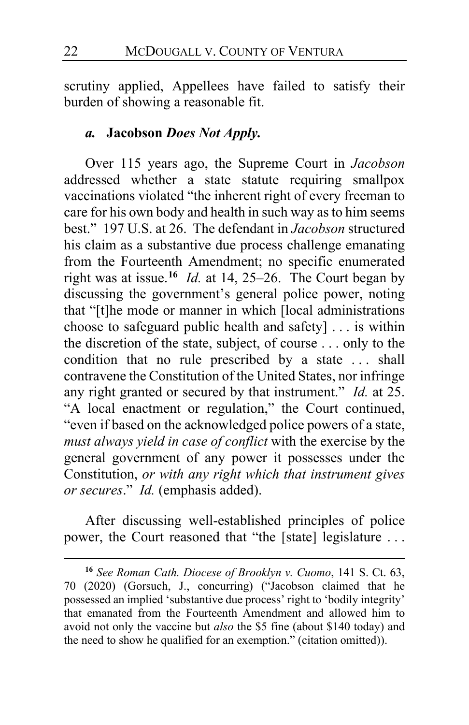scrutiny applied, Appellees have failed to satisfy their burden of showing a reasonable fit.

### *a.* **Jacobson** *Does Not Apply.*

Over 115 years ago, the Supreme Court in *Jacobson* addressed whether a state statute requiring smallpox vaccinations violated "the inherent right of every freeman to care for his own body and health in such way as to him seems best." 197 U.S. at 26. The defendant in *Jacobson* structured his claim as a substantive due process challenge emanating from the Fourteenth Amendment; no specific enumerated right was at issue.**[16](#page-21-0)** *Id.* at 14, 25–26. The Court began by discussing the government's general police power, noting that "[t]he mode or manner in which [local administrations choose to safeguard public health and safety] . . . is within the discretion of the state, subject, of course . . . only to the condition that no rule prescribed by a state ... shall contravene the Constitution of the United States, nor infringe any right granted or secured by that instrument." *Id.* at 25. "A local enactment or regulation," the Court continued, "even if based on the acknowledged police powers of a state, *must always yield in case of conflict* with the exercise by the general government of any power it possesses under the Constitution, *or with any right which that instrument gives or secures*." *Id.* (emphasis added).

After discussing well-established principles of police power, the Court reasoned that "the [state] legislature . . .

<span id="page-21-0"></span>**<sup>16</sup>** *See Roman Cath. Diocese of Brooklyn v. Cuomo*, 141 S. Ct. 63, 70 (2020) (Gorsuch, J., concurring) ("Jacobson claimed that he possessed an implied 'substantive due process' right to 'bodily integrity' that emanated from the Fourteenth Amendment and allowed him to avoid not only the vaccine but *also* the \$5 fine (about \$140 today) and the need to show he qualified for an exemption." (citation omitted)).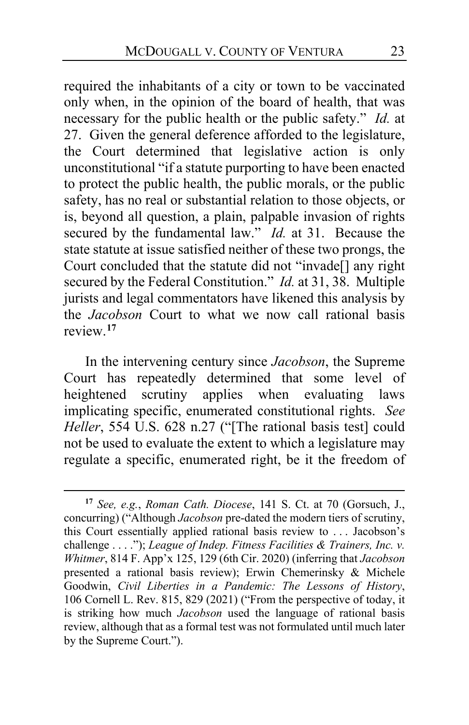required the inhabitants of a city or town to be vaccinated only when, in the opinion of the board of health, that was necessary for the public health or the public safety." *Id.* at 27. Given the general deference afforded to the legislature, the Court determined that legislative action is only unconstitutional "if a statute purporting to have been enacted to protect the public health, the public morals, or the public safety, has no real or substantial relation to those objects, or is, beyond all question, a plain, palpable invasion of rights secured by the fundamental law." *Id.* at 31. Because the state statute at issue satisfied neither of these two prongs, the Court concluded that the statute did not "invade[] any right secured by the Federal Constitution." *Id.* at 31, 38. Multiple jurists and legal commentators have likened this analysis by the *Jacobson* Court to what we now call rational basis review.**[17](#page-22-0)**

In the intervening century since *Jacobson*, the Supreme Court has repeatedly determined that some level of heightened scrutiny applies when evaluating laws implicating specific, enumerated constitutional rights. *See Heller*, 554 U.S. 628 n.27 ("The rational basis test] could not be used to evaluate the extent to which a legislature may regulate a specific, enumerated right, be it the freedom of

<span id="page-22-0"></span>**<sup>17</sup>** *See, e.g.*, *Roman Cath. Diocese*, 141 S. Ct. at 70 (Gorsuch, J., concurring) ("Although *Jacobson* pre-dated the modern tiers of scrutiny, this Court essentially applied rational basis review to . . . Jacobson's challenge . . . ."); *League of Indep. Fitness Facilities & Trainers, Inc. v. Whitmer*, 814 F. App'x 125, 129 (6th Cir. 2020) (inferring that *Jacobson* presented a rational basis review); Erwin Chemerinsky & Michele Goodwin, *Civil Liberties in a Pandemic: The Lessons of History*, 106 Cornell L. Rev. 815, 829 (2021) ("From the perspective of today, it is striking how much *Jacobson* used the language of rational basis review, although that as a formal test was not formulated until much later by the Supreme Court.").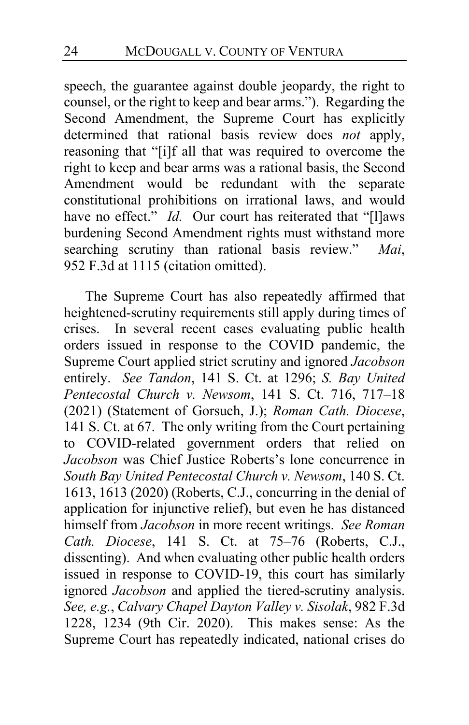speech, the guarantee against double jeopardy, the right to counsel, or the right to keep and bear arms."). Regarding the Second Amendment, the Supreme Court has explicitly determined that rational basis review does *not* apply, reasoning that "[i]f all that was required to overcome the right to keep and bear arms was a rational basis, the Second Amendment would be redundant with the separate constitutional prohibitions on irrational laws, and would have no effect." *Id.* Our court has reiterated that "[l]aws burdening Second Amendment rights must withstand more searching scrutiny than rational basis review." *Mai*, 952 F.3d at 1115 (citation omitted).

The Supreme Court has also repeatedly affirmed that heightened-scrutiny requirements still apply during times of crises. In several recent cases evaluating public health orders issued in response to the COVID pandemic, the Supreme Court applied strict scrutiny and ignored *Jacobson*  entirely. *See Tandon*, 141 S. Ct. at 1296; *S. Bay United Pentecostal Church v. Newsom*, 141 S. Ct. 716, 717–18 (2021) (Statement of Gorsuch, J.); *Roman Cath. Diocese*, 141 S. Ct. at 67. The only writing from the Court pertaining to COVID-related government orders that relied on *Jacobson* was Chief Justice Roberts's lone concurrence in *South Bay United Pentecostal Church v. Newsom*, 140 S. Ct. 1613, 1613 (2020) (Roberts, C.J., concurring in the denial of application for injunctive relief), but even he has distanced himself from *Jacobson* in more recent writings. *See Roman Cath. Diocese*, 141 S. Ct. at 75–76 (Roberts, C.J., dissenting). And when evaluating other public health orders issued in response to COVID-19, this court has similarly ignored *Jacobson* and applied the tiered-scrutiny analysis. *See, e.g.*, *Calvary Chapel Dayton Valley v. Sisolak*, 982 F.3d 1228, 1234 (9th Cir. 2020). This makes sense: As the Supreme Court has repeatedly indicated, national crises do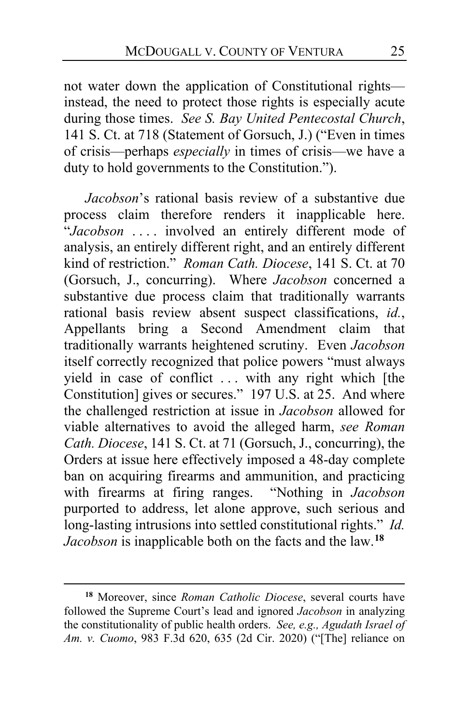not water down the application of Constitutional rights instead, the need to protect those rights is especially acute during those times. *See S. Bay United Pentecostal Church*, 141 S. Ct. at 718 (Statement of Gorsuch, J.) ("Even in times of crisis—perhaps *especially* in times of crisis—we have a duty to hold governments to the Constitution.").

*Jacobson*'s rational basis review of a substantive due process claim therefore renders it inapplicable here. "*Jacobson* . . . . involved an entirely different mode of analysis, an entirely different right, and an entirely different kind of restriction." *Roman Cath. Diocese*, 141 S. Ct. at 70 (Gorsuch, J., concurring). Where *Jacobson* concerned a substantive due process claim that traditionally warrants rational basis review absent suspect classifications, *id.*, Appellants bring a Second Amendment claim that traditionally warrants heightened scrutiny. Even *Jacobson* itself correctly recognized that police powers "must always yield in case of conflict . . . with any right which [the Constitution] gives or secures." 197 U.S. at 25. And where the challenged restriction at issue in *Jacobson* allowed for viable alternatives to avoid the alleged harm, *see Roman Cath. Diocese*, 141 S. Ct. at 71 (Gorsuch, J., concurring), the Orders at issue here effectively imposed a 48-day complete ban on acquiring firearms and ammunition, and practicing with firearms at firing ranges. "Nothing in *Jacobson* purported to address, let alone approve, such serious and long-lasting intrusions into settled constitutional rights." *Id. Jacobson* is inapplicable both on the facts and the law.**[18](#page-24-0)**

<span id="page-24-0"></span>**<sup>18</sup>** Moreover, since *Roman Catholic Diocese*, several courts have followed the Supreme Court's lead and ignored *Jacobson* in analyzing the constitutionality of public health orders. *See, e.g., Agudath Israel of Am. v. Cuomo*, 983 F.3d 620, 635 (2d Cir. 2020) ("[The] reliance on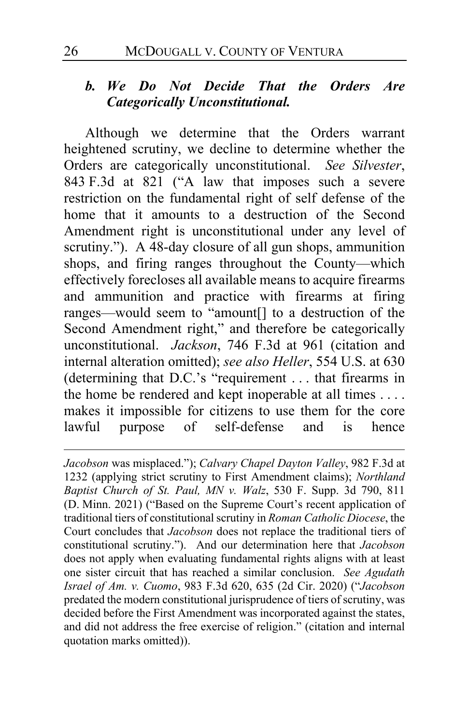# *b. We Do Not Decide That the Orders Are Categorically Unconstitutional.*

Although we determine that the Orders warrant heightened scrutiny, we decline to determine whether the Orders are categorically unconstitutional. *See Silvester*, 843 F.3d at 821 ("A law that imposes such a severe restriction on the fundamental right of self defense of the home that it amounts to a destruction of the Second Amendment right is unconstitutional under any level of scrutiny."). A 48-day closure of all gun shops, ammunition shops, and firing ranges throughout the County—which effectively forecloses all available means to acquire firearms and ammunition and practice with firearms at firing ranges—would seem to "amount[] to a destruction of the Second Amendment right," and therefore be categorically unconstitutional. *Jackson*, 746 F.3d at 961 (citation and internal alteration omitted); *see also Heller*, 554 U.S. at 630 (determining that D.C.'s "requirement . . . that firearms in the home be rendered and kept inoperable at all times . . . . makes it impossible for citizens to use them for the core lawful purpose of self-defense and is hence

*Jacobson* was misplaced."); *Calvary Chapel Dayton Valley*, 982 F.3d at 1232 (applying strict scrutiny to First Amendment claims); *Northland Baptist Church of St. Paul, MN v. Walz*, 530 F. Supp. 3d 790, 811 (D. Minn. 2021) ("Based on the Supreme Court's recent application of traditional tiers of constitutional scrutiny in *Roman Catholic Diocese*, the Court concludes that *Jacobson* does not replace the traditional tiers of constitutional scrutiny."). And our determination here that *Jacobson* does not apply when evaluating fundamental rights aligns with at least one sister circuit that has reached a similar conclusion. *See Agudath Israel of Am. v. Cuomo*, 983 F.3d 620, 635 (2d Cir. 2020) ("*Jacobson* predated the modern constitutional jurisprudence of tiers of scrutiny, was decided before the First Amendment was incorporated against the states, and did not address the free exercise of religion." (citation and internal quotation marks omitted)).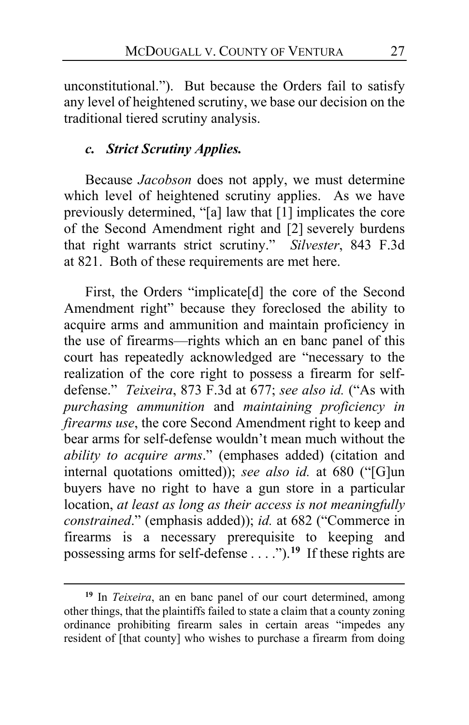unconstitutional."). But because the Orders fail to satisfy any level of heightened scrutiny, we base our decision on the traditional tiered scrutiny analysis.

### *c. Strict Scrutiny Applies.*

Because *Jacobson* does not apply, we must determine which level of heightened scrutiny applies. As we have previously determined, "[a] law that [1] implicates the core of the Second Amendment right and [2] severely burdens that right warrants strict scrutiny." *Silvester*, 843 F.3d at 821. Both of these requirements are met here.

First, the Orders "implicate[d] the core of the Second Amendment right" because they foreclosed the ability to acquire arms and ammunition and maintain proficiency in the use of firearms—rights which an en banc panel of this court has repeatedly acknowledged are "necessary to the realization of the core right to possess a firearm for selfdefense." *Teixeira*, 873 F.3d at 677; *see also id.* ("As with *purchasing ammunition* and *maintaining proficiency in firearms use*, the core Second Amendment right to keep and bear arms for self-defense wouldn't mean much without the *ability to acquire arms*." (emphases added) (citation and internal quotations omitted)); *see also id.* at 680 ("[G]un buyers have no right to have a gun store in a particular location, *at least as long as their access is not meaningfully constrained*." (emphasis added)); *id.* at 682 ("Commerce in firearms is a necessary prerequisite to keeping and possessing arms for self-defense . . . .").**[19](#page-26-0)** If these rights are

<span id="page-26-0"></span>**<sup>19</sup>** In *Teixeira*, an en banc panel of our court determined, among other things, that the plaintiffs failed to state a claim that a county zoning ordinance prohibiting firearm sales in certain areas "impedes any resident of [that county] who wishes to purchase a firearm from doing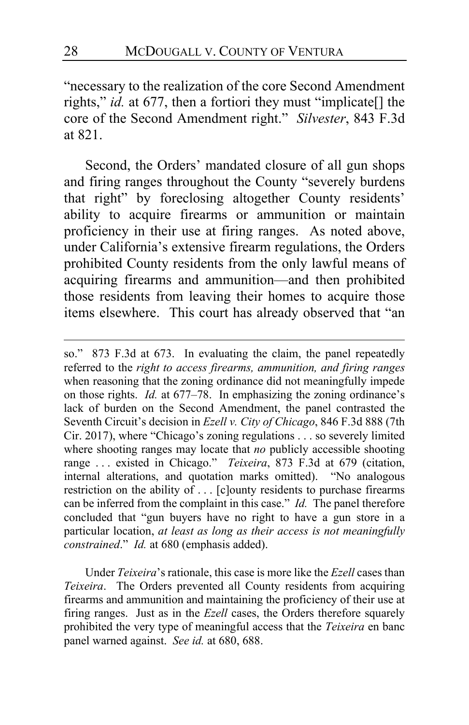"necessary to the realization of the core Second Amendment rights," *id.* at 677, then a fortiori they must "implicate[] the core of the Second Amendment right." *Silvester*, 843 F.3d at 821.

Second, the Orders' mandated closure of all gun shops and firing ranges throughout the County "severely burdens that right" by foreclosing altogether County residents' ability to acquire firearms or ammunition or maintain proficiency in their use at firing ranges. As noted above, under California's extensive firearm regulations, the Orders prohibited County residents from the only lawful means of acquiring firearms and ammunition—and then prohibited those residents from leaving their homes to acquire those items elsewhere. This court has already observed that "an

Under *Teixeira*'s rationale, this case is more like the *Ezell* cases than *Teixeira*. The Orders prevented all County residents from acquiring firearms and ammunition and maintaining the proficiency of their use at firing ranges. Just as in the *Ezell* cases, the Orders therefore squarely prohibited the very type of meaningful access that the *Teixeira* en banc panel warned against. *See id.* at 680, 688.

so." 873 F.3d at 673. In evaluating the claim, the panel repeatedly referred to the *right to access firearms, ammunition, and firing ranges* when reasoning that the zoning ordinance did not meaningfully impede on those rights. *Id.* at 677–78. In emphasizing the zoning ordinance's lack of burden on the Second Amendment, the panel contrasted the Seventh Circuit's decision in *Ezell v. City of Chicago*, 846 F.3d 888 (7th Cir. 2017), where "Chicago's zoning regulations . . . so severely limited where shooting ranges may locate that *no* publicly accessible shooting range . . . existed in Chicago." *Teixeira*, 873 F.3d at 679 (citation, internal alterations, and quotation marks omitted). "No analogous restriction on the ability of . . . [c]ounty residents to purchase firearms can be inferred from the complaint in this case." *Id.* The panel therefore concluded that "gun buyers have no right to have a gun store in a particular location, *at least as long as their access is not meaningfully constrained*." *Id.* at 680 (emphasis added).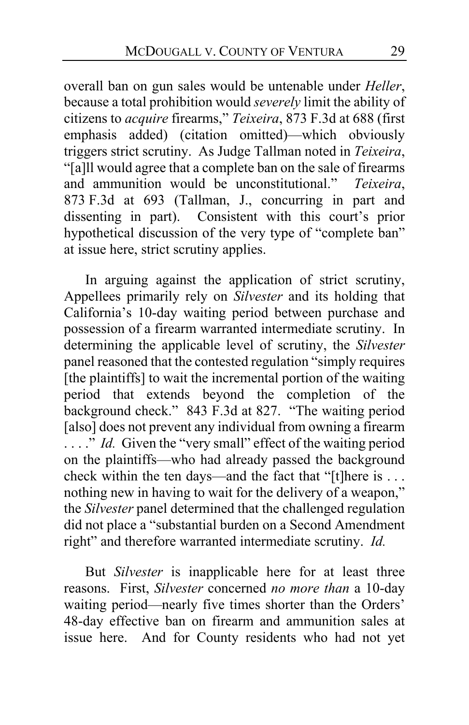overall ban on gun sales would be untenable under *Heller*, because a total prohibition would *severely* limit the ability of citizens to *acquire* firearms," *Teixeira*, 873 F.3d at 688 (first emphasis added) (citation omitted)—which obviously triggers strict scrutiny. As Judge Tallman noted in *Teixeira*, "[a]ll would agree that a complete ban on the sale of firearms and ammunition would be unconstitutional." *Teixeira*, 873 F.3d at 693 (Tallman, J., concurring in part and dissenting in part). Consistent with this court's prior hypothetical discussion of the very type of "complete ban" at issue here, strict scrutiny applies.

In arguing against the application of strict scrutiny, Appellees primarily rely on *Silvester* and its holding that California's 10-day waiting period between purchase and possession of a firearm warranted intermediate scrutiny. In determining the applicable level of scrutiny, the *Silvester* panel reasoned that the contested regulation "simply requires [the plaintiffs] to wait the incremental portion of the waiting period that extends beyond the completion of the background check." 843 F.3d at 827. "The waiting period [also] does not prevent any individual from owning a firearm ...." *Id.* Given the "very small" effect of the waiting period on the plaintiffs—who had already passed the background check within the ten days—and the fact that "[t]here is . . . nothing new in having to wait for the delivery of a weapon," the *Silvester* panel determined that the challenged regulation did not place a "substantial burden on a Second Amendment right" and therefore warranted intermediate scrutiny. *Id.*

But *Silvester* is inapplicable here for at least three reasons. First, *Silvester* concerned *no more than* a 10-day waiting period—nearly five times shorter than the Orders' 48-day effective ban on firearm and ammunition sales at issue here. And for County residents who had not yet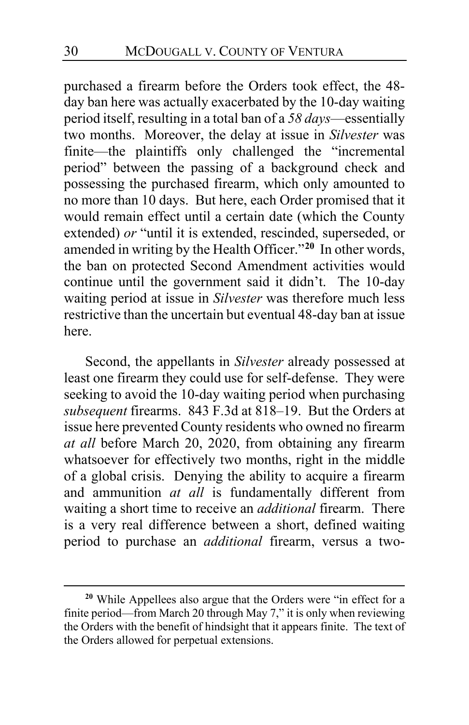purchased a firearm before the Orders took effect, the 48 day ban here was actually exacerbated by the 10-day waiting period itself, resulting in a total ban of a *58 days*—essentially two months. Moreover, the delay at issue in *Silvester* was finite—the plaintiffs only challenged the "incremental period" between the passing of a background check and possessing the purchased firearm, which only amounted to no more than 10 days. But here, each Order promised that it would remain effect until a certain date (which the County extended) *or* "until it is extended, rescinded, superseded, or amended in writing by the Health Officer."**[20](#page-29-0)** In other words, the ban on protected Second Amendment activities would continue until the government said it didn't. The 10-day waiting period at issue in *Silvester* was therefore much less restrictive than the uncertain but eventual 48-day ban at issue here.

Second, the appellants in *Silvester* already possessed at least one firearm they could use for self-defense. They were seeking to avoid the 10-day waiting period when purchasing *subsequent* firearms. 843 F.3d at 818–19. But the Orders at issue here prevented County residents who owned no firearm *at all* before March 20, 2020, from obtaining any firearm whatsoever for effectively two months, right in the middle of a global crisis. Denying the ability to acquire a firearm and ammunition *at all* is fundamentally different from waiting a short time to receive an *additional* firearm. There is a very real difference between a short, defined waiting period to purchase an *additional* firearm, versus a two-

<span id="page-29-0"></span>**<sup>20</sup>** While Appellees also argue that the Orders were "in effect for a finite period—from March 20 through May 7," it is only when reviewing the Orders with the benefit of hindsight that it appears finite. The text of the Orders allowed for perpetual extensions.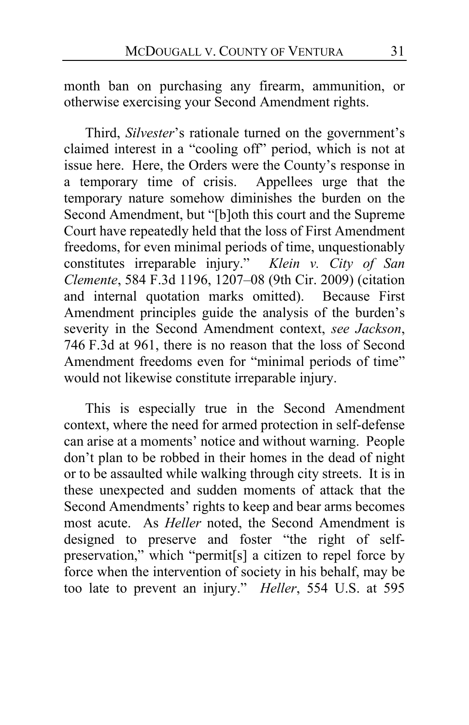month ban on purchasing any firearm, ammunition, or otherwise exercising your Second Amendment rights.

Third, *Silvester*'s rationale turned on the government's claimed interest in a "cooling off" period, which is not at issue here. Here, the Orders were the County's response in a temporary time of crisis. Appellees urge that the temporary nature somehow diminishes the burden on the Second Amendment, but "[b]oth this court and the Supreme Court have repeatedly held that the loss of First Amendment freedoms, for even minimal periods of time, unquestionably constitutes irreparable injury." *Klein v. City of San Clemente*, 584 F.3d 1196, 1207–08 (9th Cir. 2009) (citation and internal quotation marks omitted). Because First Amendment principles guide the analysis of the burden's severity in the Second Amendment context, *see Jackson*, 746 F.3d at 961, there is no reason that the loss of Second Amendment freedoms even for "minimal periods of time" would not likewise constitute irreparable injury.

This is especially true in the Second Amendment context, where the need for armed protection in self-defense can arise at a moments' notice and without warning. People don't plan to be robbed in their homes in the dead of night or to be assaulted while walking through city streets. It is in these unexpected and sudden moments of attack that the Second Amendments' rights to keep and bear arms becomes most acute. As *Heller* noted, the Second Amendment is designed to preserve and foster "the right of selfpreservation," which "permit[s] a citizen to repel force by force when the intervention of society in his behalf, may be too late to prevent an injury." *Heller*, 554 U.S. at 595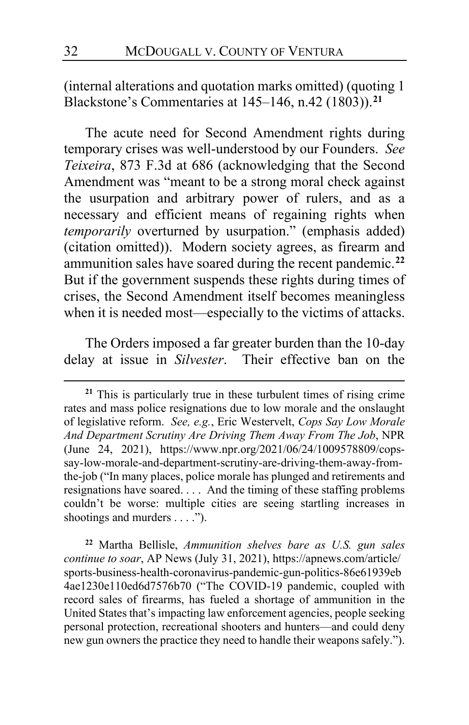(internal alterations and quotation marks omitted) (quoting 1 Blackstone's Commentaries at 145–146, n.42 (1803)).**[21](#page-31-0)**

The acute need for Second Amendment rights during temporary crises was well-understood by our Founders. *See Teixeira*, 873 F.3d at 686 (acknowledging that the Second Amendment was "meant to be a strong moral check against the usurpation and arbitrary power of rulers, and as a necessary and efficient means of regaining rights when *temporarily* overturned by usurpation." (emphasis added) (citation omitted)). Modern society agrees, as firearm and ammunition sales have soared during the recent pandemic.**[22](#page-31-1)** But if the government suspends these rights during times of crises, the Second Amendment itself becomes meaningless when it is needed most—especially to the victims of attacks.

The Orders imposed a far greater burden than the 10-day delay at issue in *Silvester*. Their effective ban on the

<span id="page-31-1"></span>**<sup>22</sup>** Martha Bellisle, *Ammunition shelves bare as U.S. gun sales continue to soar*, AP News (July 31, 2021), https://apnews.com/article/ sports-business-health-coronavirus-pandemic-gun-politics-86e61939eb 4ae1230e110ed6d7576b70 ("The COVID-19 pandemic, coupled with record sales of firearms, has fueled a shortage of ammunition in the United States that's impacting law enforcement agencies, people seeking personal protection, recreational shooters and hunters—and could deny new gun owners the practice they need to handle their weapons safely.").

<span id="page-31-0"></span>**<sup>21</sup>** This is particularly true in these turbulent times of rising crime rates and mass police resignations due to low morale and the onslaught of legislative reform. *See, e.g.*, Eric Westervelt, *Cops Say Low Morale And Department Scrutiny Are Driving Them Away From The Job*, NPR (June 24, 2021), https://www.npr.org/2021/06/24/1009578809/copssay-low-morale-and-department-scrutiny-are-driving-them-away-fromthe-job ("In many places, police morale has plunged and retirements and resignations have soared. . . . And the timing of these staffing problems couldn't be worse: multiple cities are seeing startling increases in shootings and murders . . . .").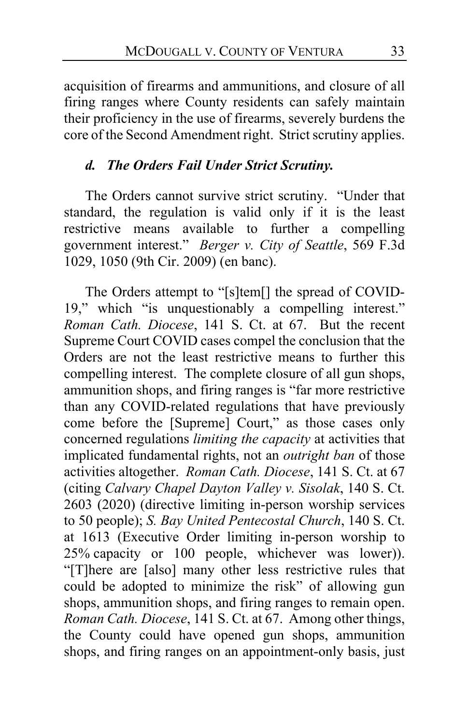acquisition of firearms and ammunitions, and closure of all firing ranges where County residents can safely maintain their proficiency in the use of firearms, severely burdens the core of the Second Amendment right. Strict scrutiny applies.

# *d. The Orders Fail Under Strict Scrutiny.*

The Orders cannot survive strict scrutiny. "Under that standard, the regulation is valid only if it is the least restrictive means available to further a compelling government interest." *Berger v. City of Seattle*, 569 F.3d 1029, 1050 (9th Cir. 2009) (en banc).

The Orders attempt to "[s]tem[] the spread of COVID-19," which "is unquestionably a compelling interest." *Roman Cath. Diocese*, 141 S. Ct. at 67. But the recent Supreme Court COVID cases compel the conclusion that the Orders are not the least restrictive means to further this compelling interest. The complete closure of all gun shops, ammunition shops, and firing ranges is "far more restrictive than any COVID-related regulations that have previously come before the [Supreme] Court," as those cases only concerned regulations *limiting the capacity* at activities that implicated fundamental rights, not an *outright ban* of those activities altogether. *Roman Cath. Diocese*, 141 S. Ct. at 67 (citing *Calvary Chapel Dayton Valley v. Sisolak*, 140 S. Ct. 2603 (2020) (directive limiting in-person worship services to 50 people); *S. Bay United Pentecostal Church*, 140 S. Ct. at 1613 (Executive Order limiting in-person worship to 25% capacity or 100 people, whichever was lower)). "[T]here are [also] many other less restrictive rules that could be adopted to minimize the risk" of allowing gun shops, ammunition shops, and firing ranges to remain open. *Roman Cath. Diocese*, 141 S. Ct. at 67. Among other things, the County could have opened gun shops, ammunition shops, and firing ranges on an appointment-only basis, just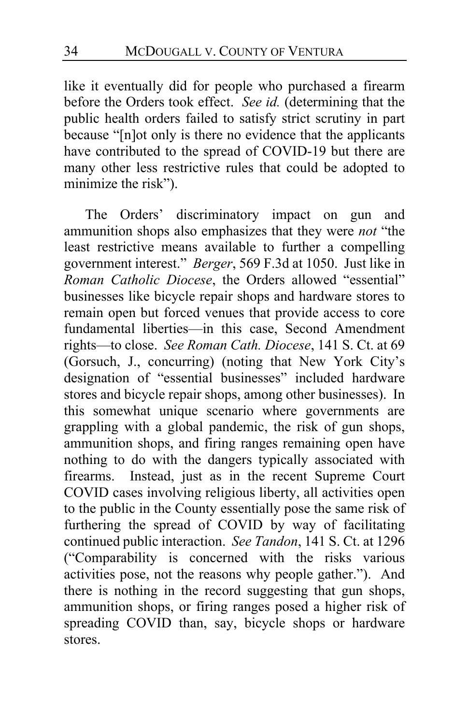like it eventually did for people who purchased a firearm before the Orders took effect. *See id.* (determining that the public health orders failed to satisfy strict scrutiny in part because "[n]ot only is there no evidence that the applicants have contributed to the spread of COVID-19 but there are many other less restrictive rules that could be adopted to minimize the risk").

The Orders' discriminatory impact on gun and ammunition shops also emphasizes that they were *not* "the least restrictive means available to further a compelling government interest." *Berger*, 569 F.3d at 1050. Just like in *Roman Catholic Diocese*, the Orders allowed "essential" businesses like bicycle repair shops and hardware stores to remain open but forced venues that provide access to core fundamental liberties—in this case, Second Amendment rights—to close. *See Roman Cath. Diocese*, 141 S. Ct. at 69 (Gorsuch, J., concurring) (noting that New York City's designation of "essential businesses" included hardware stores and bicycle repair shops, among other businesses). In this somewhat unique scenario where governments are grappling with a global pandemic, the risk of gun shops, ammunition shops, and firing ranges remaining open have nothing to do with the dangers typically associated with firearms. Instead, just as in the recent Supreme Court COVID cases involving religious liberty, all activities open to the public in the County essentially pose the same risk of furthering the spread of COVID by way of facilitating continued public interaction. *See Tandon*, 141 S. Ct. at 1296 ("Comparability is concerned with the risks various activities pose, not the reasons why people gather."). And there is nothing in the record suggesting that gun shops, ammunition shops, or firing ranges posed a higher risk of spreading COVID than, say, bicycle shops or hardware stores.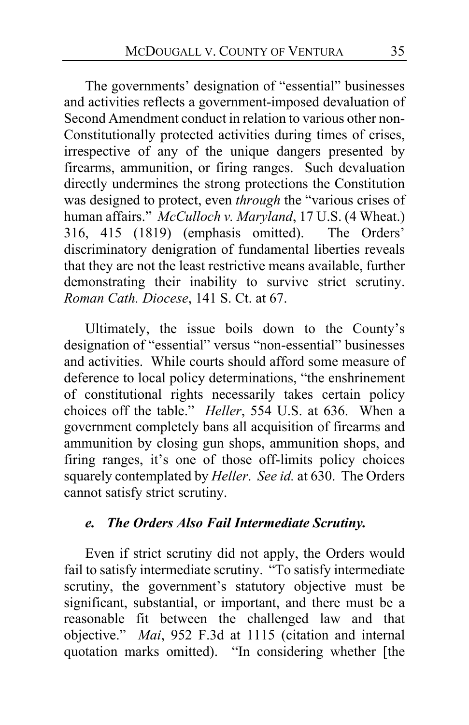The governments' designation of "essential" businesses and activities reflects a government-imposed devaluation of Second Amendment conduct in relation to various other non-Constitutionally protected activities during times of crises, irrespective of any of the unique dangers presented by firearms, ammunition, or firing ranges. Such devaluation directly undermines the strong protections the Constitution was designed to protect, even *through* the "various crises of human affairs." *McCulloch v. Maryland*, 17 U.S. (4 Wheat.) 316, 415 (1819) (emphasis omitted). The Orders' discriminatory denigration of fundamental liberties reveals that they are not the least restrictive means available, further demonstrating their inability to survive strict scrutiny. *Roman Cath. Diocese*, 141 S. Ct. at 67.

Ultimately, the issue boils down to the County's designation of "essential" versus "non-essential" businesses and activities. While courts should afford some measure of deference to local policy determinations, "the enshrinement of constitutional rights necessarily takes certain policy choices off the table." *Heller*, 554 U.S. at 636. When a government completely bans all acquisition of firearms and ammunition by closing gun shops, ammunition shops, and firing ranges, it's one of those off-limits policy choices squarely contemplated by *Heller*. *See id.* at 630. The Orders cannot satisfy strict scrutiny.

### *e. The Orders Also Fail Intermediate Scrutiny.*

Even if strict scrutiny did not apply, the Orders would fail to satisfy intermediate scrutiny. "To satisfy intermediate scrutiny, the government's statutory objective must be significant, substantial, or important, and there must be a reasonable fit between the challenged law and that objective." *Mai*, 952 F.3d at 1115 (citation and internal quotation marks omitted). "In considering whether [the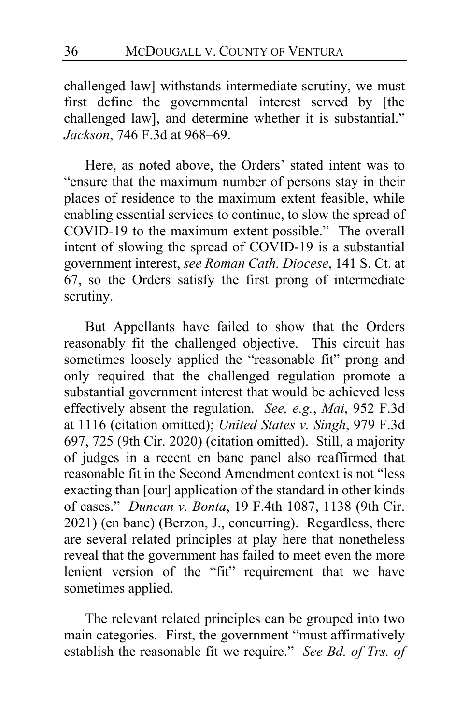challenged law] withstands intermediate scrutiny, we must first define the governmental interest served by [the challenged law], and determine whether it is substantial." *Jackson*, 746 F.3d at 968–69.

Here, as noted above, the Orders' stated intent was to "ensure that the maximum number of persons stay in their places of residence to the maximum extent feasible, while enabling essential services to continue, to slow the spread of COVID-19 to the maximum extent possible." The overall intent of slowing the spread of COVID-19 is a substantial government interest, *see Roman Cath. Diocese*, 141 S. Ct. at 67, so the Orders satisfy the first prong of intermediate scrutiny.

But Appellants have failed to show that the Orders reasonably fit the challenged objective. This circuit has sometimes loosely applied the "reasonable fit" prong and only required that the challenged regulation promote a substantial government interest that would be achieved less effectively absent the regulation. *See, e.g.*, *Mai*, 952 F.3d at 1116 (citation omitted); *United States v. Singh*, 979 F.3d 697, 725 (9th Cir. 2020) (citation omitted). Still, a majority of judges in a recent en banc panel also reaffirmed that reasonable fit in the Second Amendment context is not "less exacting than [our] application of the standard in other kinds of cases." *Duncan v. Bonta*, 19 F.4th 1087, 1138 (9th Cir. 2021) (en banc) (Berzon, J., concurring). Regardless, there are several related principles at play here that nonetheless reveal that the government has failed to meet even the more lenient version of the "fit" requirement that we have sometimes applied.

The relevant related principles can be grouped into two main categories. First, the government "must affirmatively establish the reasonable fit we require." *See Bd. of Trs. of*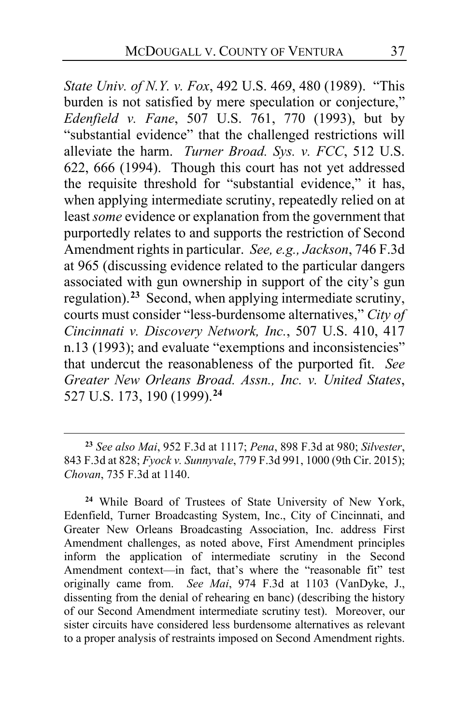*State Univ. of N.Y. v. Fox*, 492 U.S. 469, 480 (1989). "This burden is not satisfied by mere speculation or conjecture," *Edenfield v. Fane*, 507 U.S. 761, 770 (1993), but by "substantial evidence" that the challenged restrictions will alleviate the harm. *Turner Broad. Sys. v. FCC*, 512 U.S. 622, 666 (1994). Though this court has not yet addressed the requisite threshold for "substantial evidence," it has, when applying intermediate scrutiny, repeatedly relied on at least *some* evidence or explanation from the government that purportedly relates to and supports the restriction of Second Amendment rights in particular. *See, e.g., Jackson*, 746 F.3d at 965 (discussing evidence related to the particular dangers associated with gun ownership in support of the city's gun regulation).**[23](#page-36-0)** Second, when applying intermediate scrutiny, courts must consider "less-burdensome alternatives," *City of Cincinnati v. Discovery Network, Inc.*, 507 U.S. 410, 417 n.13 (1993); and evaluate "exemptions and inconsistencies" that undercut the reasonableness of the purported fit. *See Greater New Orleans Broad. Assn., Inc. v. United States*, 527 U.S. 173, 190 (1999).**[24](#page-36-1)**

<span id="page-36-1"></span>**<sup>24</sup>** While Board of Trustees of State University of New York, Edenfield, Turner Broadcasting System, Inc., City of Cincinnati, and Greater New Orleans Broadcasting Association, Inc. address First Amendment challenges, as noted above, First Amendment principles inform the application of intermediate scrutiny in the Second Amendment context—in fact, that's where the "reasonable fit" test originally came from. *See Mai*, 974 F.3d at 1103 (VanDyke, J., dissenting from the denial of rehearing en banc) (describing the history of our Second Amendment intermediate scrutiny test). Moreover, our sister circuits have considered less burdensome alternatives as relevant to a proper analysis of restraints imposed on Second Amendment rights.

<span id="page-36-0"></span>**<sup>23</sup>** *See also Mai*, 952 F.3d at 1117; *Pena*, 898 F.3d at 980; *Silvester*, 843 F.3d at 828; *Fyock v. Sunnyvale*, 779 F.3d 991, 1000 (9th Cir. 2015); *Chovan*, 735 F.3d at 1140.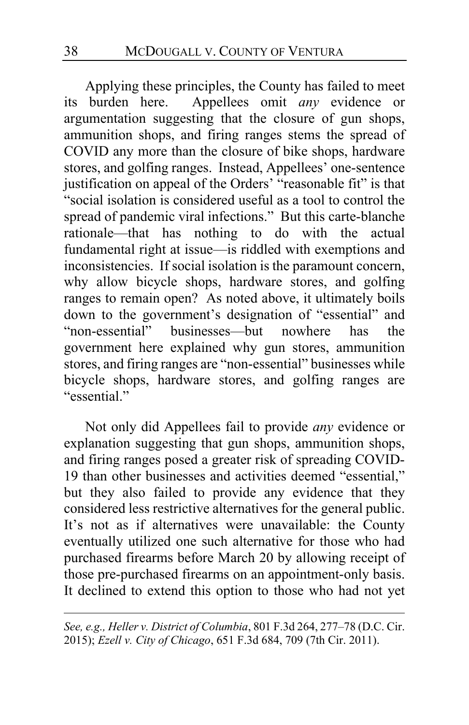Applying these principles, the County has failed to meet its burden here. Appellees omit *any* evidence or argumentation suggesting that the closure of gun shops, ammunition shops, and firing ranges stems the spread of COVID any more than the closure of bike shops, hardware stores, and golfing ranges. Instead, Appellees' one-sentence justification on appeal of the Orders' "reasonable fit" is that "social isolation is considered useful as a tool to control the spread of pandemic viral infections." But this carte-blanche rationale—that has nothing to do with the actual fundamental right at issue—is riddled with exemptions and inconsistencies. If social isolation is the paramount concern, why allow bicycle shops, hardware stores, and golfing ranges to remain open? As noted above, it ultimately boils down to the government's designation of "essential" and "non-essential" businesses—but nowhere has the government here explained why gun stores, ammunition stores, and firing ranges are "non-essential" businesses while bicycle shops, hardware stores, and golfing ranges are "essential."

Not only did Appellees fail to provide *any* evidence or explanation suggesting that gun shops, ammunition shops, and firing ranges posed a greater risk of spreading COVID-19 than other businesses and activities deemed "essential," but they also failed to provide any evidence that they considered less restrictive alternatives for the general public. It's not as if alternatives were unavailable: the County eventually utilized one such alternative for those who had purchased firearms before March 20 by allowing receipt of those pre-purchased firearms on an appointment-only basis. It declined to extend this option to those who had not yet

*See, e.g., Heller v. District of Columbia*, 801 F.3d 264, 277–78 (D.C. Cir. 2015); *Ezell v. City of Chicago*, 651 F.3d 684, 709 (7th Cir. 2011).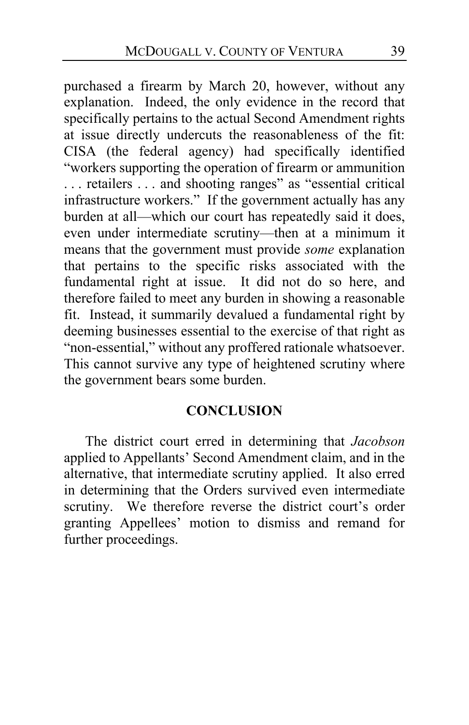purchased a firearm by March 20, however, without any explanation. Indeed, the only evidence in the record that specifically pertains to the actual Second Amendment rights at issue directly undercuts the reasonableness of the fit: CISA (the federal agency) had specifically identified "workers supporting the operation of firearm or ammunition . . . retailers . . . and shooting ranges" as "essential critical infrastructure workers." If the government actually has any burden at all—which our court has repeatedly said it does, even under intermediate scrutiny—then at a minimum it means that the government must provide *some* explanation that pertains to the specific risks associated with the fundamental right at issue. It did not do so here, and therefore failed to meet any burden in showing a reasonable fit. Instead, it summarily devalued a fundamental right by deeming businesses essential to the exercise of that right as "non-essential," without any proffered rationale whatsoever. This cannot survive any type of heightened scrutiny where the government bears some burden.

### **CONCLUSION**

The district court erred in determining that *Jacobson* applied to Appellants' Second Amendment claim, and in the alternative, that intermediate scrutiny applied. It also erred in determining that the Orders survived even intermediate scrutiny. We therefore reverse the district court's order granting Appellees' motion to dismiss and remand for further proceedings.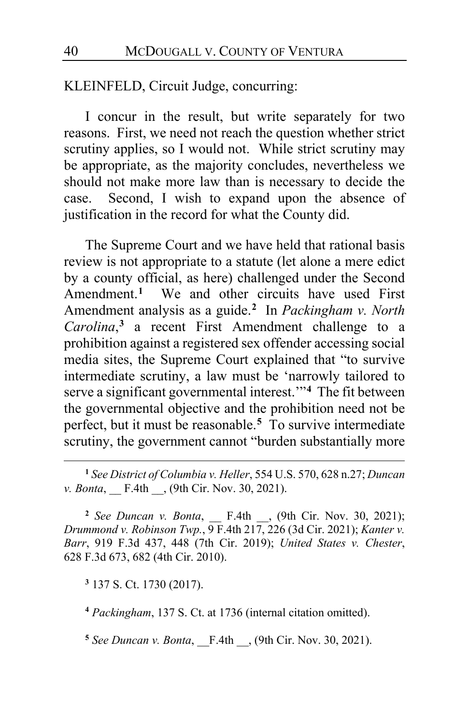KLEINFELD, Circuit Judge, concurring:

I concur in the result, but write separately for two reasons. First, we need not reach the question whether strict scrutiny applies, so I would not. While strict scrutiny may be appropriate, as the majority concludes, nevertheless we should not make more law than is necessary to decide the case. Second, I wish to expand upon the absence of justification in the record for what the County did.

The Supreme Court and we have held that rational basis review is not appropriate to a statute (let alone a mere edict by a county official, as here) challenged under the Second Amendment.**[1](#page-39-0)** We and other circuits have used First Amendment analysis as a guide.**[2](#page-39-1)** In *Packingham v. North Carolina*, **[3](#page-39-2)** a recent First Amendment challenge to a prohibition against a registered sex offender accessing social media sites, the Supreme Court explained that "to survive intermediate scrutiny, a law must be 'narrowly tailored to serve a significant governmental interest.'"**[4](#page-39-3)** The fit between the governmental objective and the prohibition need not be perfect, but it must be reasonable.**[5](#page-39-4)** To survive intermediate scrutiny, the government cannot "burden substantially more

<span id="page-39-0"></span>**<sup>1</sup>** *See District of Columbia v. Heller*, 554 U.S. 570, 628 n.27; *Duncan v. Bonta*, **F.4th**  $\Box$ , (9th Cir. Nov. 30, 2021).

<span id="page-39-1"></span>**<sup>2</sup>** *See Duncan v. Bonta*, \_\_ F.4th \_\_, (9th Cir. Nov. 30, 2021); *Drummond v. Robinson Twp.*, 9 F.4th 217, 226 (3d Cir. 2021); *Kanter v. Barr*, 919 F.3d 437, 448 (7th Cir. 2019); *United States v. Chester*, 628 F.3d 673, 682 (4th Cir. 2010).

<span id="page-39-2"></span>**<sup>3</sup>** 137 S. Ct. 1730 (2017).

<span id="page-39-3"></span>**<sup>4</sup>** *Packingham*, 137 S. Ct. at 1736 (internal citation omitted).

<span id="page-39-4"></span>**<sup>5</sup>** *See Duncan v. Bonta*, \_\_F.4th \_\_, (9th Cir. Nov. 30, 2021).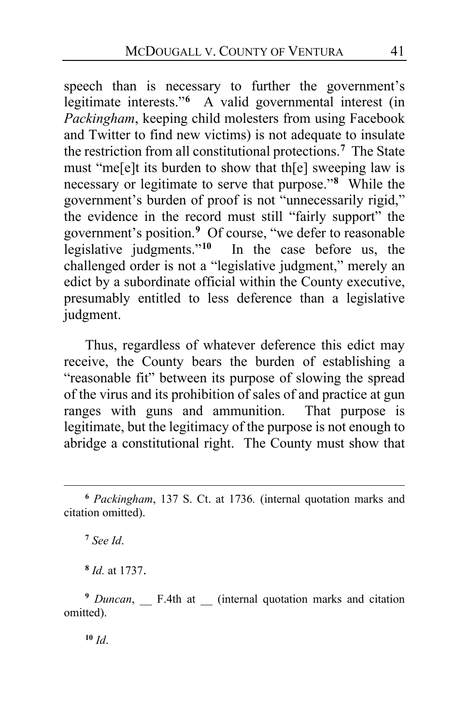speech than is necessary to further the government's legitimate interests."**[6](#page-40-0)** A valid governmental interest (in *Packingham*, keeping child molesters from using Facebook and Twitter to find new victims) is not adequate to insulate the restriction from all constitutional protections.**[7](#page-40-1)** The State must "me[e]t its burden to show that th[e] sweeping law is necessary or legitimate to serve that purpose."**[8](#page-40-2)** While the government's burden of proof is not "unnecessarily rigid," the evidence in the record must still "fairly support" the government's position.**[9](#page-40-3)** Of course, "we defer to reasonable legislative judgments."**[10](#page-40-4)** In the case before us, the challenged order is not a "legislative judgment," merely an edict by a subordinate official within the County executive, presumably entitled to less deference than a legislative judgment.

Thus, regardless of whatever deference this edict may receive, the County bears the burden of establishing a "reasonable fit" between its purpose of slowing the spread of the virus and its prohibition of sales of and practice at gun ranges with guns and ammunition. That purpose is legitimate, but the legitimacy of the purpose is not enough to abridge a constitutional right. The County must show that

**<sup>7</sup>** *See Id*.

**<sup>8</sup>** *Id.* at 1737.

<span id="page-40-4"></span><span id="page-40-3"></span><span id="page-40-2"></span><sup>9</sup> *Duncan*, F.4th at \_\_ (internal quotation marks and citation omitted).

**<sup>10</sup>** *Id*.

<span id="page-40-1"></span><span id="page-40-0"></span>**<sup>6</sup>** *Packingham*, 137 S. Ct. at 1736*.* (internal quotation marks and citation omitted).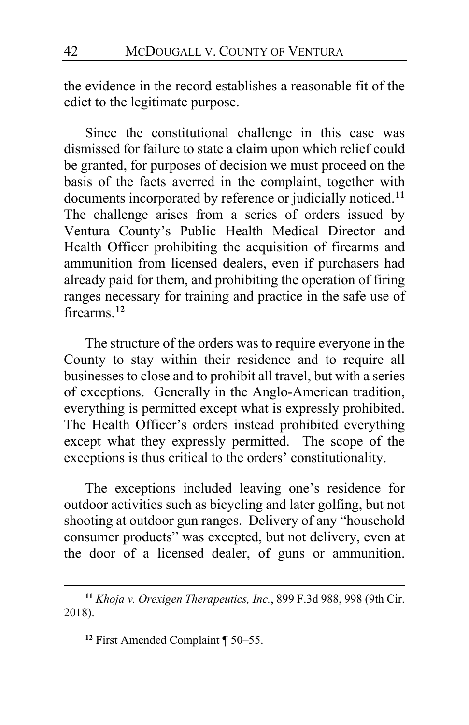the evidence in the record establishes a reasonable fit of the edict to the legitimate purpose.

Since the constitutional challenge in this case was dismissed for failure to state a claim upon which relief could be granted, for purposes of decision we must proceed on the basis of the facts averred in the complaint, together with documents incorporated by reference or judicially noticed.**[11](#page-41-0)** The challenge arises from a series of orders issued by Ventura County's Public Health Medical Director and Health Officer prohibiting the acquisition of firearms and ammunition from licensed dealers, even if purchasers had already paid for them, and prohibiting the operation of firing ranges necessary for training and practice in the safe use of firearms.**[12](#page-41-1)**

The structure of the orders was to require everyone in the County to stay within their residence and to require all businesses to close and to prohibit all travel, but with a series of exceptions. Generally in the Anglo-American tradition, everything is permitted except what is expressly prohibited. The Health Officer's orders instead prohibited everything except what they expressly permitted. The scope of the exceptions is thus critical to the orders' constitutionality.

The exceptions included leaving one's residence for outdoor activities such as bicycling and later golfing, but not shooting at outdoor gun ranges. Delivery of any "household consumer products" was excepted, but not delivery, even at the door of a licensed dealer, of guns or ammunition.

<span id="page-41-1"></span><span id="page-41-0"></span>**<sup>11</sup>** *Khoja v. Orexigen Therapeutics, Inc.*, 899 F.3d 988, 998 (9th Cir. 2018).

**<sup>12</sup>** First Amended Complaint ¶ 50–55.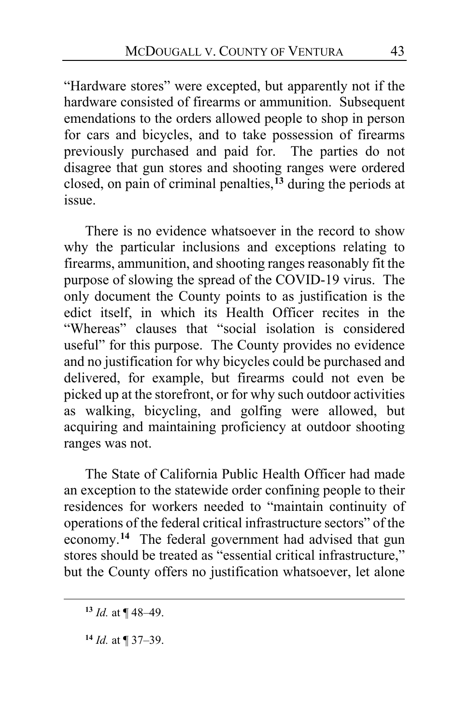"Hardware stores" were excepted, but apparently not if the hardware consisted of firearms or ammunition. Subsequent emendations to the orders allowed people to shop in person for cars and bicycles, and to take possession of firearms previously purchased and paid for. The parties do not disagree that gun stores and shooting ranges were ordered closed, on pain of criminal penalties,**[13](#page-42-0)** during the periods at issue.

There is no evidence whatsoever in the record to show why the particular inclusions and exceptions relating to firearms, ammunition, and shooting ranges reasonably fit the purpose of slowing the spread of the COVID-19 virus. The only document the County points to as justification is the edict itself, in which its Health Officer recites in the "Whereas" clauses that "social isolation is considered useful" for this purpose. The County provides no evidence and no justification for why bicycles could be purchased and delivered, for example, but firearms could not even be picked up at the storefront, or for why such outdoor activities as walking, bicycling, and golfing were allowed, but acquiring and maintaining proficiency at outdoor shooting ranges was not.

The State of California Public Health Officer had made an exception to the statewide order confining people to their residences for workers needed to "maintain continuity of operations of the federal critical infrastructure sectors" of the economy.**[14](#page-42-1)** The federal government had advised that gun stores should be treated as "essential critical infrastructure," but the County offers no justification whatsoever, let alone

<span id="page-42-0"></span>**<sup>13</sup>** *Id.* at ¶ 48–49.

<span id="page-42-1"></span>**<sup>14</sup>** *Id.* at ¶ 37–39.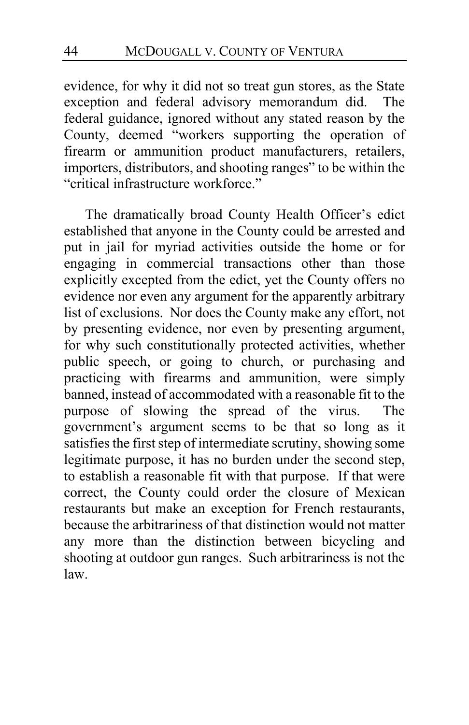evidence, for why it did not so treat gun stores, as the State exception and federal advisory memorandum did. The federal guidance, ignored without any stated reason by the County, deemed "workers supporting the operation of firearm or ammunition product manufacturers, retailers, importers, distributors, and shooting ranges" to be within the "critical infrastructure workforce."

The dramatically broad County Health Officer's edict established that anyone in the County could be arrested and put in jail for myriad activities outside the home or for engaging in commercial transactions other than those explicitly excepted from the edict, yet the County offers no evidence nor even any argument for the apparently arbitrary list of exclusions. Nor does the County make any effort, not by presenting evidence, nor even by presenting argument, for why such constitutionally protected activities, whether public speech, or going to church, or purchasing and practicing with firearms and ammunition, were simply banned, instead of accommodated with a reasonable fit to the purpose of slowing the spread of the virus. The government's argument seems to be that so long as it satisfies the first step of intermediate scrutiny, showing some legitimate purpose, it has no burden under the second step, to establish a reasonable fit with that purpose. If that were correct, the County could order the closure of Mexican restaurants but make an exception for French restaurants, because the arbitrariness of that distinction would not matter any more than the distinction between bicycling and shooting at outdoor gun ranges. Such arbitrariness is not the law.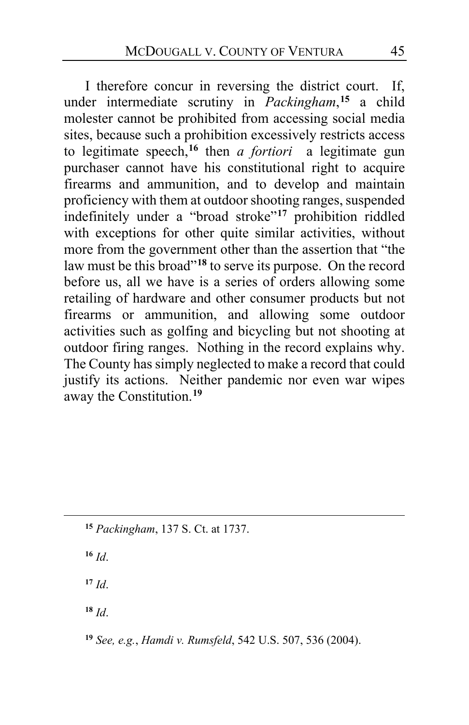I therefore concur in reversing the district court. If, under intermediate scrutiny in *Packingham*, **[15](#page-44-0)** a child molester cannot be prohibited from accessing social media sites, because such a prohibition excessively restricts access to legitimate speech,**[16](#page-44-1)** then *a fortiori* a legitimate gun purchaser cannot have his constitutional right to acquire firearms and ammunition, and to develop and maintain proficiency with them at outdoor shooting ranges, suspended indefinitely under a "broad stroke"**[17](#page-44-2)** prohibition riddled with exceptions for other quite similar activities, without more from the government other than the assertion that "the law must be this broad"**[18](#page-44-3)** to serve its purpose. On the record before us, all we have is a series of orders allowing some retailing of hardware and other consumer products but not firearms or ammunition, and allowing some outdoor activities such as golfing and bicycling but not shooting at outdoor firing ranges. Nothing in the record explains why. The County has simply neglected to make a record that could justify its actions. Neither pandemic nor even war wipes away the Constitution.**[19](#page-44-4)**

<span id="page-44-1"></span>**<sup>16</sup>** *Id*.

<span id="page-44-2"></span>**<sup>17</sup>** *Id*.

<span id="page-44-3"></span>**<sup>18</sup>** *Id*.

<span id="page-44-4"></span>**<sup>19</sup>** *See, e.g.*, *Hamdi v. Rumsfeld*, 542 U.S. 507, 536 (2004).

<span id="page-44-0"></span>**<sup>15</sup>** *Packingham*, 137 S. Ct. at 1737.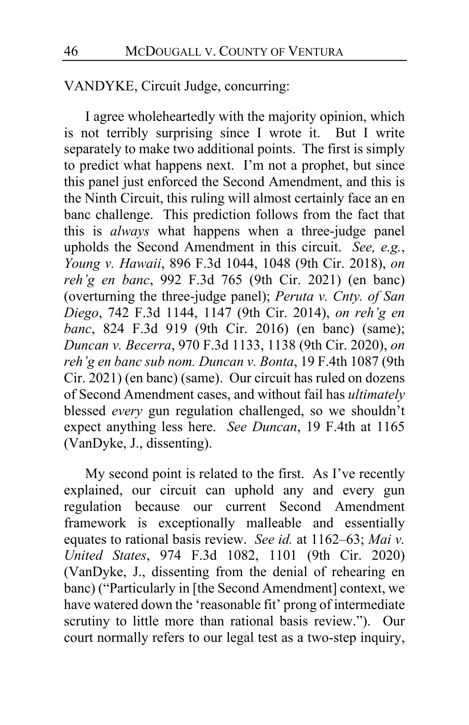VANDYKE, Circuit Judge, concurring:

I agree wholeheartedly with the majority opinion, which is not terribly surprising since I wrote it. But I write separately to make two additional points. The first is simply to predict what happens next. I'm not a prophet, but since this panel just enforced the Second Amendment, and this is the Ninth Circuit, this ruling will almost certainly face an en banc challenge. This prediction follows from the fact that this is *always* what happens when a three-judge panel upholds the Second Amendment in this circuit. *See, e.g.*, *Young v. Hawaii*, 896 F.3d 1044, 1048 (9th Cir. 2018), *on reh'g en banc*, 992 F.3d 765 (9th Cir. 2021) (en banc) (overturning the three-judge panel); *Peruta v. Cnty. of San Diego*, 742 F.3d 1144, 1147 (9th Cir. 2014), *on reh'g en banc*, 824 F.3d 919 (9th Cir. 2016) (en banc) (same); *Duncan v. Becerra*, 970 F.3d 1133, 1138 (9th Cir. 2020), *on reh'g en banc sub nom. Duncan v. Bonta*, 19 F.4th 1087 (9th Cir. 2021) (en banc) (same). Our circuit has ruled on dozens of Second Amendment cases, and without fail has *ultimately* blessed *every* gun regulation challenged, so we shouldn't expect anything less here. *See Duncan*, 19 F.4th at 1165 (VanDyke, J., dissenting).

My second point is related to the first. As I've recently explained, our circuit can uphold any and every gun regulation because our current Second Amendment framework is exceptionally malleable and essentially equates to rational basis review. *See id.* at 1162–63; *Mai v. United States*, 974 F.3d 1082, 1101 (9th Cir. 2020) (VanDyke, J., dissenting from the denial of rehearing en banc) ("Particularly in [the Second Amendment] context, we have watered down the 'reasonable fit' prong of intermediate scrutiny to little more than rational basis review."). Our court normally refers to our legal test as a two-step inquiry,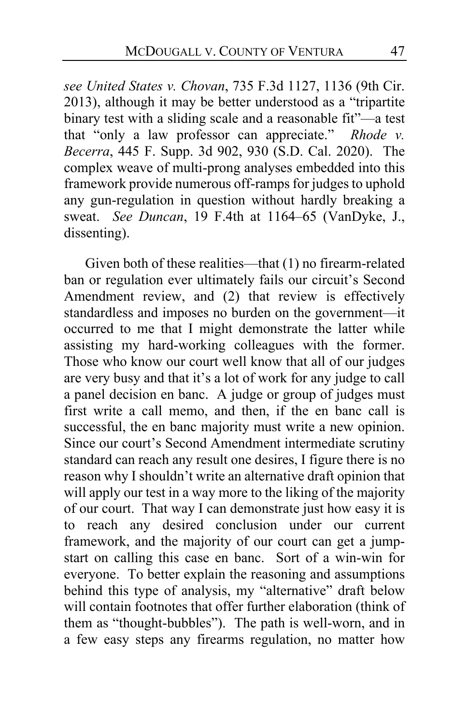*see United States v. Chovan*, 735 F.3d 1127, 1136 (9th Cir. 2013), although it may be better understood as a "tripartite binary test with a sliding scale and a reasonable fit"—a test that "only a law professor can appreciate." *Rhode v. Becerra*, 445 F. Supp. 3d 902, 930 (S.D. Cal. 2020). The complex weave of multi-prong analyses embedded into this framework provide numerous off-ramps for judges to uphold any gun-regulation in question without hardly breaking a sweat. *See Duncan*, 19 F.4th at 1164–65 (VanDyke, J., dissenting).

Given both of these realities—that (1) no firearm-related ban or regulation ever ultimately fails our circuit's Second Amendment review, and (2) that review is effectively standardless and imposes no burden on the government—it occurred to me that I might demonstrate the latter while assisting my hard-working colleagues with the former. Those who know our court well know that all of our judges are very busy and that it's a lot of work for any judge to call a panel decision en banc. A judge or group of judges must first write a call memo, and then, if the en banc call is successful, the en banc majority must write a new opinion. Since our court's Second Amendment intermediate scrutiny standard can reach any result one desires, I figure there is no reason why I shouldn't write an alternative draft opinion that will apply our test in a way more to the liking of the majority of our court. That way I can demonstrate just how easy it is to reach any desired conclusion under our current framework, and the majority of our court can get a jumpstart on calling this case en banc. Sort of a win-win for everyone. To better explain the reasoning and assumptions behind this type of analysis, my "alternative" draft below will contain footnotes that offer further elaboration (think of them as "thought-bubbles"). The path is well-worn, and in a few easy steps any firearms regulation, no matter how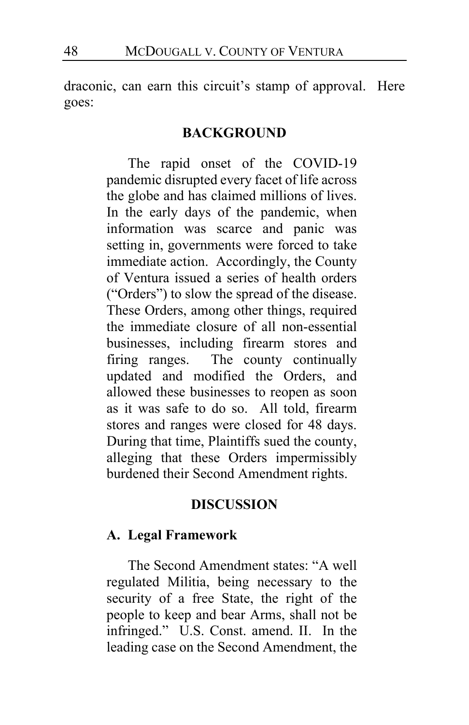draconic, can earn this circuit's stamp of approval. Here goes:

#### **BACKGROUND**

The rapid onset of the COVID-19 pandemic disrupted every facet of life across the globe and has claimed millions of lives. In the early days of the pandemic, when information was scarce and panic was setting in, governments were forced to take immediate action. Accordingly, the County of Ventura issued a series of health orders ("Orders") to slow the spread of the disease. These Orders, among other things, required the immediate closure of all non-essential businesses, including firearm stores and firing ranges. The county continually updated and modified the Orders, and allowed these businesses to reopen as soon as it was safe to do so. All told, firearm stores and ranges were closed for 48 days. During that time, Plaintiffs sued the county, alleging that these Orders impermissibly burdened their Second Amendment rights.

#### **DISCUSSION**

### **A. Legal Framework**

The Second Amendment states: "A well regulated Militia, being necessary to the security of a free State, the right of the people to keep and bear Arms, shall not be infringed." U.S. Const. amend. II. In the leading case on the Second Amendment, the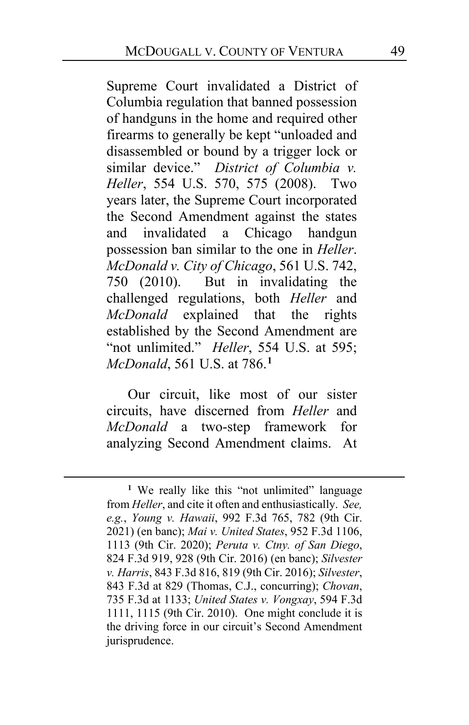Supreme Court invalidated a District of Columbia regulation that banned possession of handguns in the home and required other firearms to generally be kept "unloaded and disassembled or bound by a trigger lock or similar device." *District of Columbia v. Heller*, 554 U.S. 570, 575 (2008). Two years later, the Supreme Court incorporated the Second Amendment against the states and invalidated a Chicago handgun possession ban similar to the one in *Heller*. *McDonald v. City of Chicago*, 561 U.S. 742, 750 (2010). But in invalidating the challenged regulations, both *Heller* and *McDonald* explained that the rights established by the Second Amendment are "not unlimited." *Heller*, 554 U.S. at 595; *McDonald*, 561 U.S. at 786.**[1](#page-48-0)**

Our circuit, like most of our sister circuits, have discerned from *Heller* and *McDonald* a two-step framework for analyzing Second Amendment claims. At

<span id="page-48-0"></span><sup>&</sup>lt;sup>1</sup> We really like this "not unlimited" language from *Heller*, and cite it often and enthusiastically. *See, e.g.*, *Young v. Hawaii*, 992 F.3d 765, 782 (9th Cir. 2021) (en banc); *Mai v. United States*, 952 F.3d 1106, 1113 (9th Cir. 2020); *Peruta v. Ctny. of San Diego*, 824 F.3d 919, 928 (9th Cir. 2016) (en banc); *Silvester v. Harris*, 843 F.3d 816, 819 (9th Cir. 2016); *Silvester*, 843 F.3d at 829 (Thomas, C.J., concurring); *Chovan*, 735 F.3d at 1133; *United States v. Vongxay*, 594 F.3d 1111, 1115 (9th Cir. 2010). One might conclude it is the driving force in our circuit's Second Amendment jurisprudence.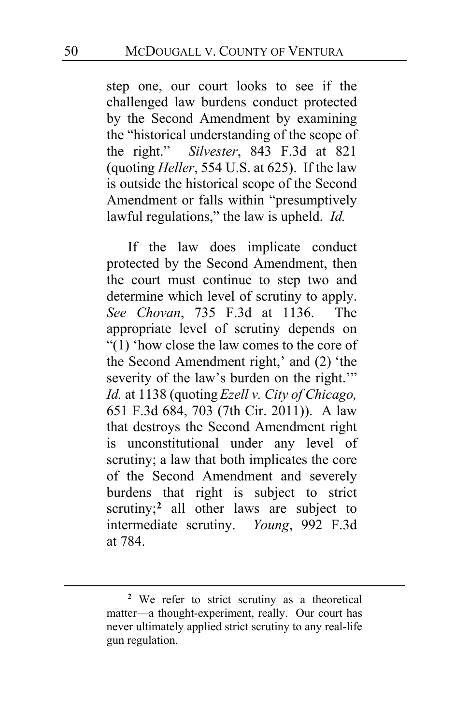step one, our court looks to see if the challenged law burdens conduct protected by the Second Amendment by examining the "historical understanding of the scope of the right." *Silvester*, 843 F.3d at 821 (quoting *Heller*, 554 U.S. at 625). If the law is outside the historical scope of the Second Amendment or falls within "presumptively lawful regulations," the law is upheld. *Id.*

If the law does implicate conduct protected by the Second Amendment, then the court must continue to step two and determine which level of scrutiny to apply. *See Chovan*, 735 F.3d at 1136. The appropriate level of scrutiny depends on "(1) 'how close the law comes to the core of the Second Amendment right,' and (2) 'the severity of the law's burden on the right." *Id.* at 1138 (quoting *Ezell v. City of Chicago,* 651 F.3d 684, 703 (7th Cir. 2011)). A law that destroys the Second Amendment right is unconstitutional under any level of scrutiny; a law that both implicates the core of the Second Amendment and severely burdens that right is subject to strict scrutiny;<sup>[2](#page-49-0)</sup> all other laws are subject to intermediate scrutiny. *Young*, 992 F.3d at 784.

<span id="page-49-0"></span>**<sup>2</sup>** We refer to strict scrutiny as a theoretical matter—a thought-experiment, really. Our court has never ultimately applied strict scrutiny to any real-life gun regulation.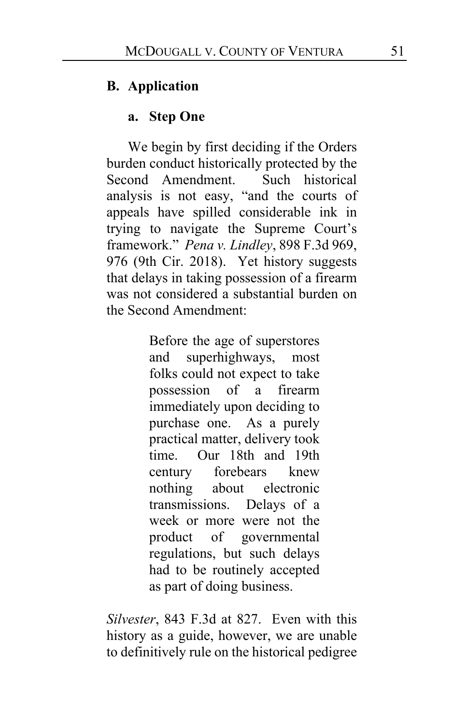### **B. Application**

#### **a. Step One**

We begin by first deciding if the Orders burden conduct historically protected by the Second Amendment. Such historical analysis is not easy, "and the courts of appeals have spilled considerable ink in trying to navigate the Supreme Court's framework." *Pena v. Lindley*, 898 F.3d 969, 976 (9th Cir. 2018). Yet history suggests that delays in taking possession of a firearm was not considered a substantial burden on the Second Amendment:

> Before the age of superstores and superhighways, most folks could not expect to take possession of a firearm immediately upon deciding to purchase one. As a purely practical matter, delivery took time. Our 18th and 19th century forebears knew nothing about electronic transmissions. Delays of a week or more were not the product of governmental regulations, but such delays had to be routinely accepted as part of doing business.

*Silvester*, 843 F.3d at 827. Even with this history as a guide, however, we are unable to definitively rule on the historical pedigree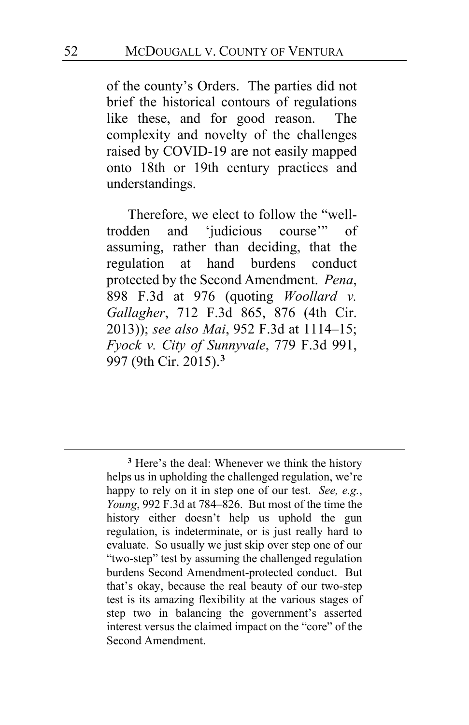of the county's Orders. The parties did not brief the historical contours of regulations like these, and for good reason. The complexity and novelty of the challenges raised by COVID-19 are not easily mapped onto 18th or 19th century practices and understandings.

Therefore, we elect to follow the "welltrodden and 'judicious course'" of assuming, rather than deciding, that the regulation at hand burdens conduct protected by the Second Amendment. *Pena*, 898 F.3d at 976 (quoting *Woollard v. Gallagher*, 712 F.3d 865, 876 (4th Cir. 2013)); *see also Mai*, 952 F.3d at 1114–15; *Fyock v. City of Sunnyvale*, 779 F.3d 991, 997 (9th Cir. 2015).**[3](#page-51-0)**

<span id="page-51-0"></span>**<sup>3</sup>** Here's the deal: Whenever we think the history helps us in upholding the challenged regulation, we're happy to rely on it in step one of our test. *See, e.g.*, *Young*, 992 F.3d at 784–826. But most of the time the history either doesn't help us uphold the gun regulation, is indeterminate, or is just really hard to evaluate. So usually we just skip over step one of our "two-step" test by assuming the challenged regulation burdens Second Amendment-protected conduct. But that's okay, because the real beauty of our two-step test is its amazing flexibility at the various stages of step two in balancing the government's asserted interest versus the claimed impact on the "core" of the Second Amendment.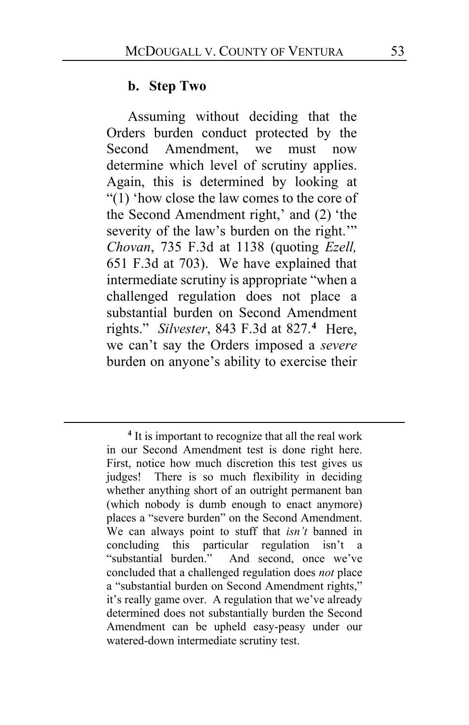#### **b. Step Two**

Assuming without deciding that the Orders burden conduct protected by the Second Amendment, we must now determine which level of scrutiny applies. Again, this is determined by looking at "(1) 'how close the law comes to the core of the Second Amendment right,' and (2) 'the severity of the law's burden on the right." *Chovan*, 735 F.3d at 1138 (quoting *Ezell,* 651 F.3d at 703). We have explained that intermediate scrutiny is appropriate "when a challenged regulation does not place a substantial burden on Second Amendment rights." *Silvester*, 843 F.3d at 827.**[4](#page-52-0)** Here, we can't say the Orders imposed a *severe* burden on anyone's ability to exercise their

<span id="page-52-0"></span>**<sup>4</sup>** It is important to recognize that all the real work in our Second Amendment test is done right here. First, notice how much discretion this test gives us judges! There is so much flexibility in deciding whether anything short of an outright permanent ban (which nobody is dumb enough to enact anymore) places a "severe burden" on the Second Amendment. We can always point to stuff that *isn't* banned in concluding this particular regulation isn't a "substantial burden." And second, once we've concluded that a challenged regulation does *not* place a "substantial burden on Second Amendment rights," it's really game over. A regulation that we've already determined does not substantially burden the Second Amendment can be upheld easy-peasy under our watered-down intermediate scrutiny test.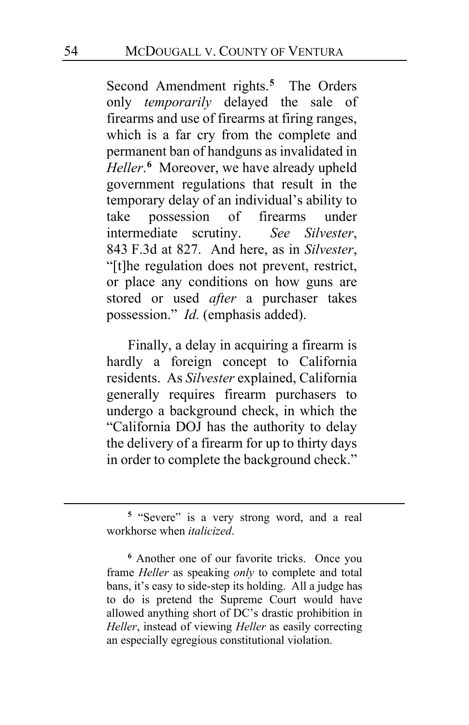Second Amendment rights.**[5](#page-53-0)** The Orders only *temporarily* delayed the sale of firearms and use of firearms at firing ranges, which is a far cry from the complete and permanent ban of handguns as invalidated in *Heller*. **[6](#page-53-1)** Moreover, we have already upheld government regulations that result in the temporary delay of an individual's ability to take possession of firearms under intermediate scrutiny. *See Silvester*, 843 F.3d at 827. And here, as in *Silvester*, "[t]he regulation does not prevent, restrict, or place any conditions on how guns are stored or used *after* a purchaser takes possession." *Id.* (emphasis added).

Finally, a delay in acquiring a firearm is hardly a foreign concept to California residents. As *Silvester* explained, California generally requires firearm purchasers to undergo a background check, in which the "California DOJ has the authority to delay the delivery of a firearm for up to thirty days in order to complete the background check."

<span id="page-53-0"></span>**<sup>5</sup>** "Severe" is a very strong word, and a real workhorse when *italicized*.

<span id="page-53-1"></span>**<sup>6</sup>** Another one of our favorite tricks. Once you frame *Heller* as speaking *only* to complete and total bans, it's easy to side-step its holding. All a judge has to do is pretend the Supreme Court would have allowed anything short of DC's drastic prohibition in *Heller*, instead of viewing *Heller* as easily correcting an especially egregious constitutional violation.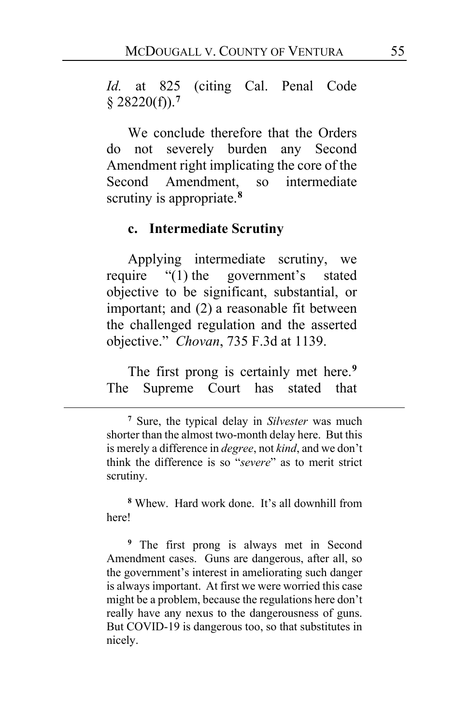*Id.* at 825 (citing Cal. Penal Code § 28220(f)).**[7](#page-54-0)**

We conclude therefore that the Orders do not severely burden any Second Amendment right implicating the core of the Second Amendment, so intermediate scrutiny is appropriate.**[8](#page-54-1)**

#### **c. Intermediate Scrutiny**

Applying intermediate scrutiny, we require "(1) the government's stated objective to be significant, substantial, or important; and (2) a reasonable fit between the challenged regulation and the asserted objective." *Chovan*, 735 F.3d at 1139.

The first prong is certainly met here.**[9](#page-54-2)** The Supreme Court has stated that

<span id="page-54-1"></span>**<sup>8</sup>** Whew. Hard work done. It's all downhill from here!

<span id="page-54-2"></span>**<sup>9</sup>** The first prong is always met in Second Amendment cases. Guns are dangerous, after all, so the government's interest in ameliorating such danger is always important. At first we were worried this case might be a problem, because the regulations here don't really have any nexus to the dangerousness of guns. But COVID-19 is dangerous too, so that substitutes in nicely.

<span id="page-54-0"></span>**<sup>7</sup>** Sure, the typical delay in *Silvester* was much shorter than the almost two-month delay here. But this is merely a difference in *degree*, not *kind*, and we don't think the difference is so "*severe*" as to merit strict scrutiny.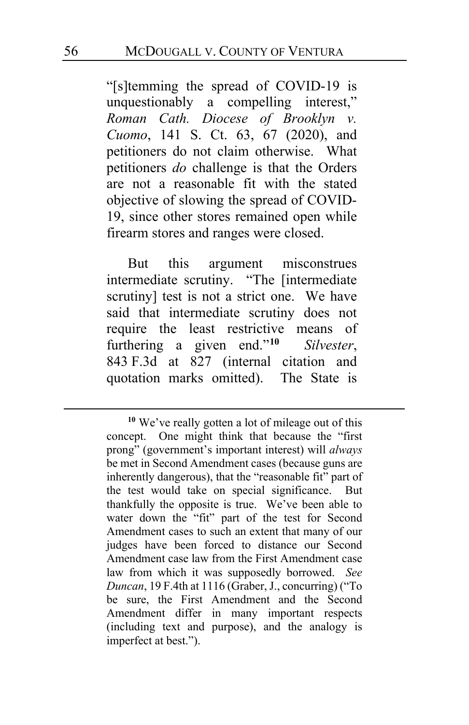"[s]temming the spread of COVID-19 is unquestionably a compelling interest," *Roman Cath. Diocese of Brooklyn v. Cuomo*, 141 S. Ct. 63, 67 (2020), and petitioners do not claim otherwise. What petitioners *do* challenge is that the Orders are not a reasonable fit with the stated objective of slowing the spread of COVID-19, since other stores remained open while firearm stores and ranges were closed.

But this argument misconstrues intermediate scrutiny. "The [intermediate scrutiny] test is not a strict one. We have said that intermediate scrutiny does not require the least restrictive means of furthering a given end."**[10](#page-55-0)** *Silvester*, 843 F.3d at 827 (internal citation and quotation marks omitted). The State is

<span id="page-55-0"></span>**<sup>10</sup>** We've really gotten a lot of mileage out of this concept. One might think that because the "first prong" (government's important interest) will *always* be met in Second Amendment cases (because guns are inherently dangerous), that the "reasonable fit" part of the test would take on special significance. But thankfully the opposite is true. We've been able to water down the "fit" part of the test for Second Amendment cases to such an extent that many of our judges have been forced to distance our Second Amendment case law from the First Amendment case law from which it was supposedly borrowed. *See Duncan*, 19 F.4th at 1116 (Graber, J., concurring) ("To be sure, the First Amendment and the Second Amendment differ in many important respects (including text and purpose), and the analogy is imperfect at best.").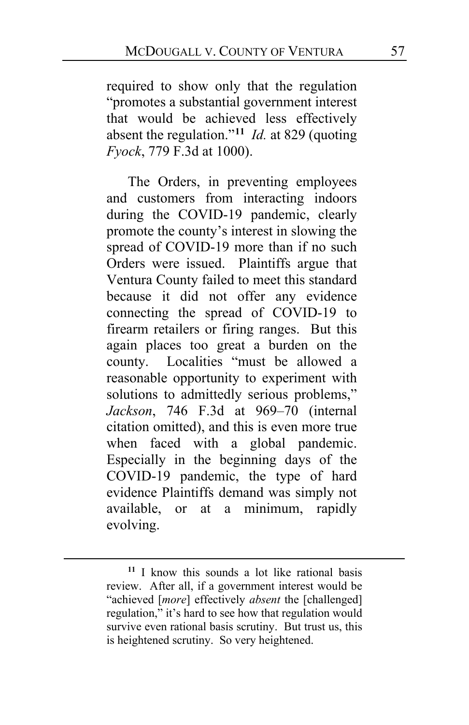required to show only that the regulation "promotes a substantial government interest that would be achieved less effectively absent the regulation."**[11](#page-56-0)** *Id.* at 829 (quoting *Fyock*, 779 F.3d at 1000).

The Orders, in preventing employees and customers from interacting indoors during the COVID-19 pandemic, clearly promote the county's interest in slowing the spread of COVID-19 more than if no such Orders were issued. Plaintiffs argue that Ventura County failed to meet this standard because it did not offer any evidence connecting the spread of COVID-19 to firearm retailers or firing ranges. But this again places too great a burden on the county. Localities "must be allowed a reasonable opportunity to experiment with solutions to admittedly serious problems," *Jackson*, 746 F.3d at 969–70 (internal citation omitted), and this is even more true when faced with a global pandemic. Especially in the beginning days of the COVID-19 pandemic, the type of hard evidence Plaintiffs demand was simply not available, or at a minimum, rapidly evolving.

<span id="page-56-0"></span>**<sup>11</sup>** I know this sounds a lot like rational basis review. After all, if a government interest would be "achieved [*more*] effectively *absent* the [challenged] regulation," it's hard to see how that regulation would survive even rational basis scrutiny. But trust us, this is heightened scrutiny. So very heightened.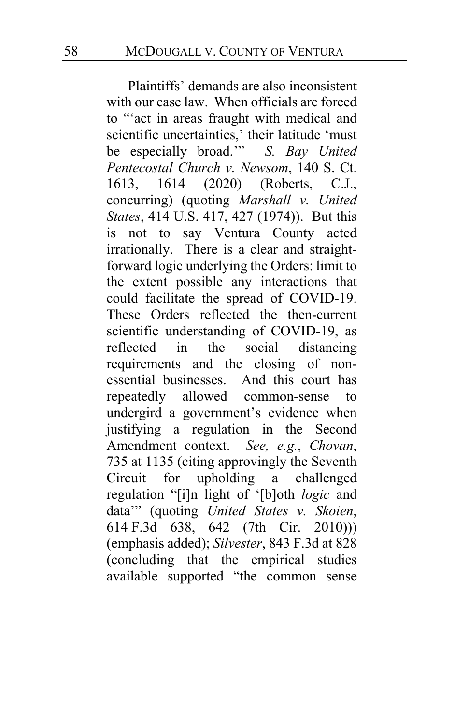Plaintiffs' demands are also inconsistent with our case law. When officials are forced to "'act in areas fraught with medical and scientific uncertainties,' their latitude 'must be especially broad.'" *S. Bay United Pentecostal Church v. Newsom*, 140 S. Ct. 1613, 1614 (2020) (Roberts, C.J., concurring) (quoting *Marshall v. United States*, 414 U.S. 417, 427 (1974)). But this is not to say Ventura County acted irrationally. There is a clear and straightforward logic underlying the Orders: limit to the extent possible any interactions that could facilitate the spread of COVID-19. These Orders reflected the then-current scientific understanding of COVID-19, as<br>reflected in the social distancing reflected in the social distancing requirements and the closing of nonessential businesses. And this court has repeatedly allowed common-sense to undergird a government's evidence when justifying a regulation in the Second Amendment context. *See, e.g.*, *Chovan*, 735 at 1135 (citing approvingly the Seventh Circuit for upholding a challenged regulation "[i]n light of '[b]oth *logic* and data'" (quoting *United States v. Skoien*, 614 F.3d 638, 642 (7th Cir. 2010))) (emphasis added); *Silvester*, 843 F.3d at 828 (concluding that the empirical studies available supported "the common sense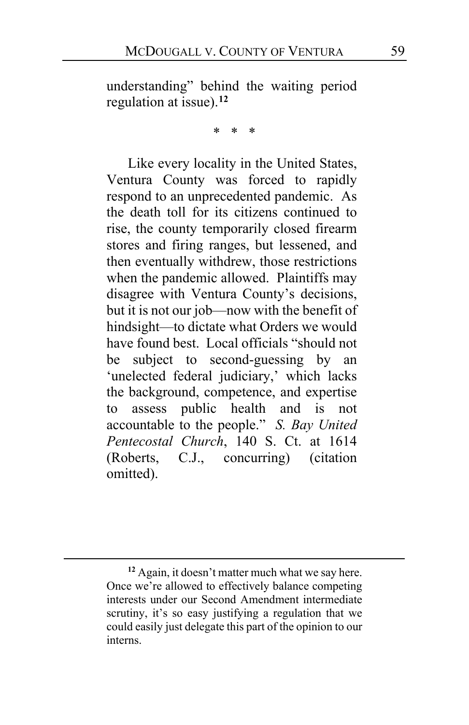understanding" behind the waiting period regulation at issue).**[12](#page-58-0)**

 $\star$ 

Like every locality in the United States, Ventura County was forced to rapidly respond to an unprecedented pandemic. As the death toll for its citizens continued to rise, the county temporarily closed firearm stores and firing ranges, but lessened, and then eventually withdrew, those restrictions when the pandemic allowed. Plaintiffs may disagree with Ventura County's decisions, but it is not our job—now with the benefit of hindsight—to dictate what Orders we would have found best. Local officials "should not be subject to second-guessing by an 'unelected federal judiciary,' which lacks the background, competence, and expertise to assess public health and is not accountable to the people." *S. Bay United Pentecostal Church*, 140 S. Ct. at 1614 (Roberts, C.J., concurring) (citation omitted).

<span id="page-58-0"></span>**<sup>12</sup>** Again, it doesn't matter much what we say here. Once we're allowed to effectively balance competing interests under our Second Amendment intermediate scrutiny, it's so easy justifying a regulation that we could easily just delegate this part of the opinion to our interns.